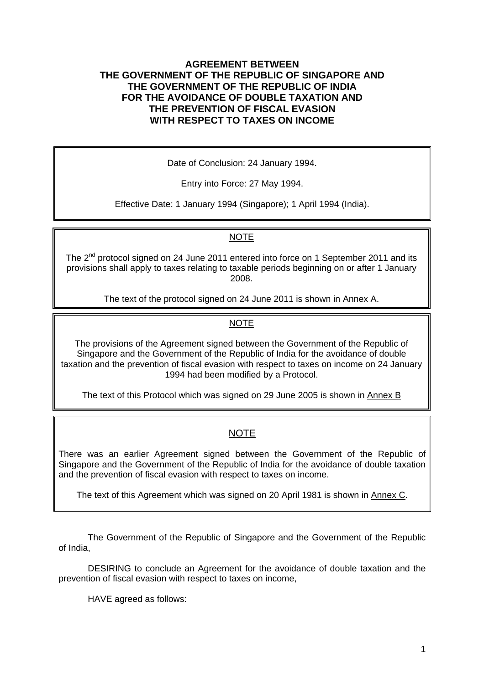#### **AGREEMENT BETWEEN THE GOVERNMENT OF THE REPUBLIC OF SINGAPORE AND THE GOVERNMENT OF THE REPUBLIC OF INDIA FOR THE AVOIDANCE OF DOUBLE TAXATION AND THE PREVENTION OF FISCAL EVASION WITH RESPECT TO TAXES ON INCOME**

Date of Conclusion: 24 January 1994.

Entry into Force: 27 May 1994.

Effective Date: 1 January 1994 (Singapore); 1 April 1994 (India).

## NOTE

The 2<sup>nd</sup> protocol signed on 24 June 2011 entered into force on 1 September 2011 and its provisions shall apply to taxes relating to taxable periods beginning on or after 1 January 2008.

The text of the protocol signed on 24 June 2011 is shown in Annex A.

## NOTE

The provisions of the Agreement signed between the Government of the Republic of Singapore and the Government of the Republic of India for the avoidance of double taxation and the prevention of fiscal evasion with respect to taxes on income on 24 January 1994 had been modified by a Protocol.

The text of this Protocol which was signed on 29 June 2005 is shown in Annex B

## NOTE

There was an earlier Agreement signed between the Government of the Republic of Singapore and the Government of the Republic of India for the avoidance of double taxation and the prevention of fiscal evasion with respect to taxes on income.

The text of this Agreement which was signed on 20 April 1981 is shown in Annex C.

 The Government of the Republic of Singapore and the Government of the Republic of India,

 DESIRING to conclude an Agreement for the avoidance of double taxation and the prevention of fiscal evasion with respect to taxes on income,

HAVE agreed as follows: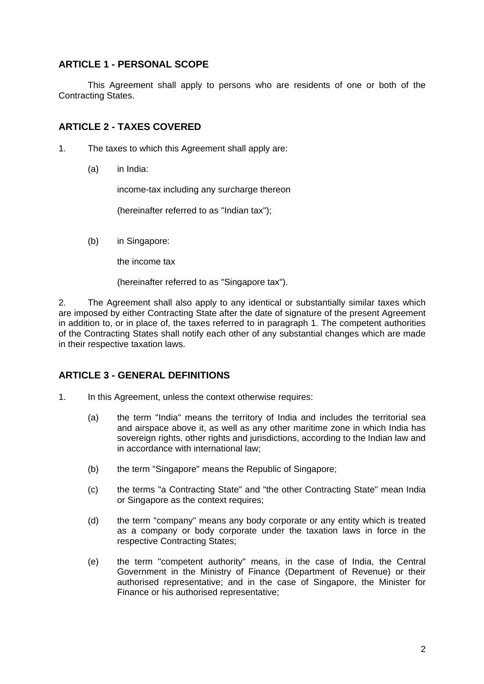## **ARTICLE 1 - PERSONAL SCOPE**

This Agreement shall apply to persons who are residents of one or both of the Contracting States.

## **ARTICLE 2 - TAXES COVERED**

- 1. The taxes to which this Agreement shall apply are:
	- (a) in India:

income-tax including any surcharge thereon

(hereinafter referred to as "Indian tax");

(b) in Singapore:

the income tax

(hereinafter referred to as "Singapore tax").

2. The Agreement shall also apply to any identical or substantially similar taxes which are imposed by either Contracting State after the date of signature of the present Agreement in addition to, or in place of, the taxes referred to in paragraph 1. The competent authorities of the Contracting States shall notify each other of any substantial changes which are made in their respective taxation laws.

## **ARTICLE 3 - GENERAL DEFINITIONS**

- 1. In this Agreement, unless the context otherwise requires:
	- (a) the term "India" means the territory of India and includes the territorial sea and airspace above it, as well as any other maritime zone in which India has sovereign rights, other rights and jurisdictions, according to the Indian law and in accordance with international law;
	- (b) the term "Singapore" means the Republic of Singapore;
	- (c) the terms "a Contracting State" and "the other Contracting State" mean India or Singapore as the context requires;
	- (d) the term "company" means any body corporate or any entity which is treated as a company or body corporate under the taxation laws in force in the respective Contracting States;
	- (e) the term "competent authority" means, in the case of India, the Central Government in the Ministry of Finance (Department of Revenue) or their authorised representative; and in the case of Singapore, the Minister for Finance or his authorised representative;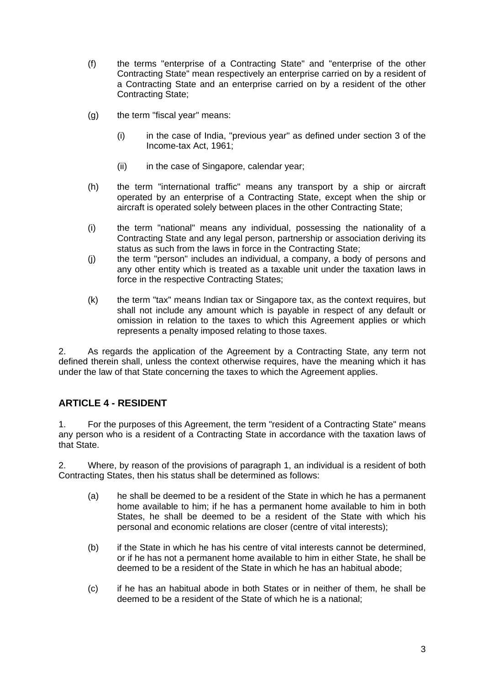- (f) the terms "enterprise of a Contracting State" and "enterprise of the other Contracting State" mean respectively an enterprise carried on by a resident of a Contracting State and an enterprise carried on by a resident of the other Contracting State;
- (g) the term "fiscal year" means:
	- (i) in the case of India, "previous year" as defined under section 3 of the Income-tax Act, 1961;
	- (ii) in the case of Singapore, calendar year;
- (h) the term "international traffic" means any transport by a ship or aircraft operated by an enterprise of a Contracting State, except when the ship or aircraft is operated solely between places in the other Contracting State;
- (i) the term "national" means any individual, possessing the nationality of a Contracting State and any legal person, partnership or association deriving its status as such from the laws in force in the Contracting State;
- (j) the term "person" includes an individual, a company, a body of persons and any other entity which is treated as a taxable unit under the taxation laws in force in the respective Contracting States;
- (k) the term "tax" means Indian tax or Singapore tax, as the context requires, but shall not include any amount which is payable in respect of any default or omission in relation to the taxes to which this Agreement applies or which represents a penalty imposed relating to those taxes.

2. As regards the application of the Agreement by a Contracting State, any term not defined therein shall, unless the context otherwise requires, have the meaning which it has under the law of that State concerning the taxes to which the Agreement applies.

# **ARTICLE 4 - RESIDENT**

1. For the purposes of this Agreement, the term "resident of a Contracting State" means any person who is a resident of a Contracting State in accordance with the taxation laws of that State.

2. Where, by reason of the provisions of paragraph 1, an individual is a resident of both Contracting States, then his status shall be determined as follows:

- (a) he shall be deemed to be a resident of the State in which he has a permanent home available to him; if he has a permanent home available to him in both States, he shall be deemed to be a resident of the State with which his personal and economic relations are closer (centre of vital interests);
- (b) if the State in which he has his centre of vital interests cannot be determined, or if he has not a permanent home available to him in either State, he shall be deemed to be a resident of the State in which he has an habitual abode;
- (c) if he has an habitual abode in both States or in neither of them, he shall be deemed to be a resident of the State of which he is a national;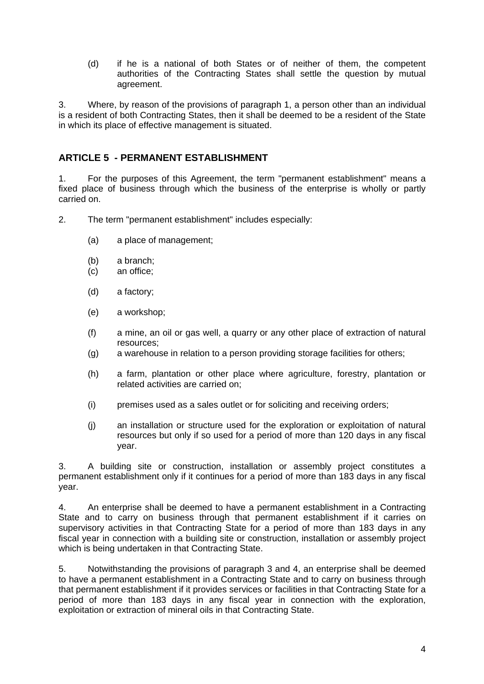(d) if he is a national of both States or of neither of them, the competent authorities of the Contracting States shall settle the question by mutual agreement.

3. Where, by reason of the provisions of paragraph 1, a person other than an individual is a resident of both Contracting States, then it shall be deemed to be a resident of the State in which its place of effective management is situated.

## **ARTICLE 5 - PERMANENT ESTABLISHMENT**

1. For the purposes of this Agreement, the term "permanent establishment" means a fixed place of business through which the business of the enterprise is wholly or partly carried on.

2. The term "permanent establishment" includes especially:

- (a) a place of management;
- (b) a branch;
- (c) an office;
- (d) a factory;
- (e) a workshop;
- (f) a mine, an oil or gas well, a quarry or any other place of extraction of natural resources;
- (g) a warehouse in relation to a person providing storage facilities for others;
- (h) a farm, plantation or other place where agriculture, forestry, plantation or related activities are carried on;
- (i) premises used as a sales outlet or for soliciting and receiving orders;
- (j) an installation or structure used for the exploration or exploitation of natural resources but only if so used for a period of more than 120 days in any fiscal year.

3. A building site or construction, installation or assembly project constitutes a permanent establishment only if it continues for a period of more than 183 days in any fiscal year.

4. An enterprise shall be deemed to have a permanent establishment in a Contracting State and to carry on business through that permanent establishment if it carries on supervisory activities in that Contracting State for a period of more than 183 days in any fiscal year in connection with a building site or construction, installation or assembly project which is being undertaken in that Contracting State.

5. Notwithstanding the provisions of paragraph 3 and 4, an enterprise shall be deemed to have a permanent establishment in a Contracting State and to carry on business through that permanent establishment if it provides services or facilities in that Contracting State for a period of more than 183 days in any fiscal year in connection with the exploration, exploitation or extraction of mineral oils in that Contracting State.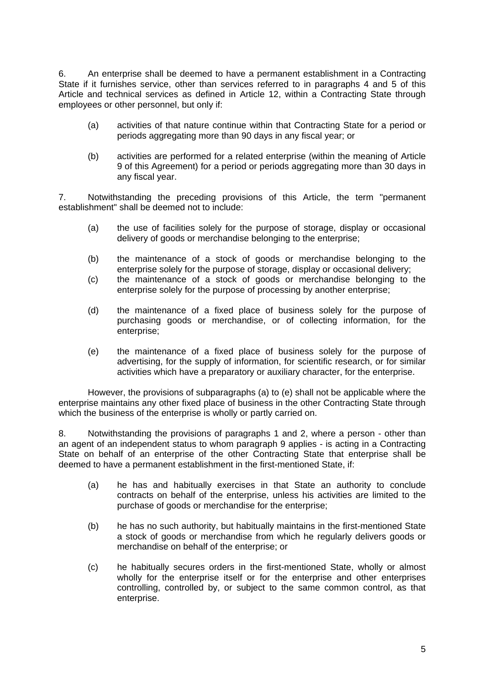6. An enterprise shall be deemed to have a permanent establishment in a Contracting State if it furnishes service, other than services referred to in paragraphs 4 and 5 of this Article and technical services as defined in Article 12, within a Contracting State through employees or other personnel, but only if:

- (a) activities of that nature continue within that Contracting State for a period or periods aggregating more than 90 days in any fiscal year; or
- (b) activities are performed for a related enterprise (within the meaning of Article 9 of this Agreement) for a period or periods aggregating more than 30 days in any fiscal year.

7. Notwithstanding the preceding provisions of this Article, the term "permanent establishment" shall be deemed not to include:

- (a) the use of facilities solely for the purpose of storage, display or occasional delivery of goods or merchandise belonging to the enterprise;
- (b) the maintenance of a stock of goods or merchandise belonging to the enterprise solely for the purpose of storage, display or occasional delivery;
- (c) the maintenance of a stock of goods or merchandise belonging to the enterprise solely for the purpose of processing by another enterprise;
- (d) the maintenance of a fixed place of business solely for the purpose of purchasing goods or merchandise, or of collecting information, for the enterprise;
- (e) the maintenance of a fixed place of business solely for the purpose of advertising, for the supply of information, for scientific research, or for similar activities which have a preparatory or auxiliary character, for the enterprise.

However, the provisions of subparagraphs (a) to (e) shall not be applicable where the enterprise maintains any other fixed place of business in the other Contracting State through which the business of the enterprise is wholly or partly carried on.

8. Notwithstanding the provisions of paragraphs 1 and 2, where a person - other than an agent of an independent status to whom paragraph 9 applies - is acting in a Contracting State on behalf of an enterprise of the other Contracting State that enterprise shall be deemed to have a permanent establishment in the first-mentioned State, if:

- (a) he has and habitually exercises in that State an authority to conclude contracts on behalf of the enterprise, unless his activities are limited to the purchase of goods or merchandise for the enterprise;
- (b) he has no such authority, but habitually maintains in the first-mentioned State a stock of goods or merchandise from which he regularly delivers goods or merchandise on behalf of the enterprise; or
- (c) he habitually secures orders in the first-mentioned State, wholly or almost wholly for the enterprise itself or for the enterprise and other enterprises controlling, controlled by, or subject to the same common control, as that enterprise.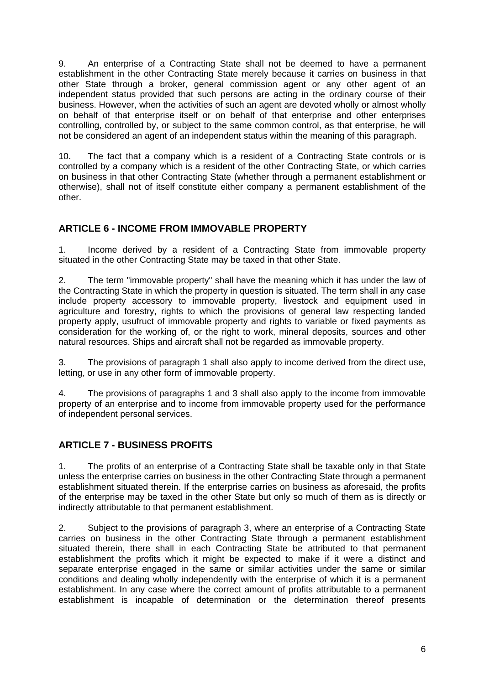9. An enterprise of a Contracting State shall not be deemed to have a permanent establishment in the other Contracting State merely because it carries on business in that other State through a broker, general commission agent or any other agent of an independent status provided that such persons are acting in the ordinary course of their business. However, when the activities of such an agent are devoted wholly or almost wholly on behalf of that enterprise itself or on behalf of that enterprise and other enterprises controlling, controlled by, or subject to the same common control, as that enterprise, he will not be considered an agent of an independent status within the meaning of this paragraph.

10. The fact that a company which is a resident of a Contracting State controls or is controlled by a company which is a resident of the other Contracting State, or which carries on business in that other Contracting State (whether through a permanent establishment or otherwise), shall not of itself constitute either company a permanent establishment of the other.

# **ARTICLE 6 - INCOME FROM IMMOVABLE PROPERTY**

1. Income derived by a resident of a Contracting State from immovable property situated in the other Contracting State may be taxed in that other State.

2. The term "immovable property" shall have the meaning which it has under the law of the Contracting State in which the property in question is situated. The term shall in any case include property accessory to immovable property, livestock and equipment used in agriculture and forestry, rights to which the provisions of general law respecting landed property apply, usufruct of immovable property and rights to variable or fixed payments as consideration for the working of, or the right to work, mineral deposits, sources and other natural resources. Ships and aircraft shall not be regarded as immovable property.

3. The provisions of paragraph 1 shall also apply to income derived from the direct use, letting, or use in any other form of immovable property.

4. The provisions of paragraphs 1 and 3 shall also apply to the income from immovable property of an enterprise and to income from immovable property used for the performance of independent personal services.

# **ARTICLE 7 - BUSINESS PROFITS**

1. The profits of an enterprise of a Contracting State shall be taxable only in that State unless the enterprise carries on business in the other Contracting State through a permanent establishment situated therein. If the enterprise carries on business as aforesaid, the profits of the enterprise may be taxed in the other State but only so much of them as is directly or indirectly attributable to that permanent establishment.

2. Subject to the provisions of paragraph 3, where an enterprise of a Contracting State carries on business in the other Contracting State through a permanent establishment situated therein, there shall in each Contracting State be attributed to that permanent establishment the profits which it might be expected to make if it were a distinct and separate enterprise engaged in the same or similar activities under the same or similar conditions and dealing wholly independently with the enterprise of which it is a permanent establishment. In any case where the correct amount of profits attributable to a permanent establishment is incapable of determination or the determination thereof presents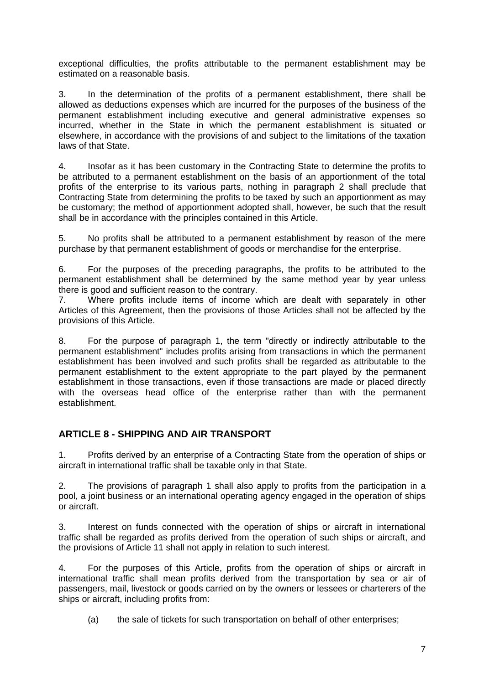exceptional difficulties, the profits attributable to the permanent establishment may be estimated on a reasonable basis.

3. In the determination of the profits of a permanent establishment, there shall be allowed as deductions expenses which are incurred for the purposes of the business of the permanent establishment including executive and general administrative expenses so incurred, whether in the State in which the permanent establishment is situated or elsewhere, in accordance with the provisions of and subject to the limitations of the taxation laws of that State.

4. Insofar as it has been customary in the Contracting State to determine the profits to be attributed to a permanent establishment on the basis of an apportionment of the total profits of the enterprise to its various parts, nothing in paragraph 2 shall preclude that Contracting State from determining the profits to be taxed by such an apportionment as may be customary; the method of apportionment adopted shall, however, be such that the result shall be in accordance with the principles contained in this Article.

5. No profits shall be attributed to a permanent establishment by reason of the mere purchase by that permanent establishment of goods or merchandise for the enterprise.

6. For the purposes of the preceding paragraphs, the profits to be attributed to the permanent establishment shall be determined by the same method year by year unless there is good and sufficient reason to the contrary.

7. Where profits include items of income which are dealt with separately in other Articles of this Agreement, then the provisions of those Articles shall not be affected by the provisions of this Article.

8. For the purpose of paragraph 1, the term "directly or indirectly attributable to the permanent establishment" includes profits arising from transactions in which the permanent establishment has been involved and such profits shall be regarded as attributable to the permanent establishment to the extent appropriate to the part played by the permanent establishment in those transactions, even if those transactions are made or placed directly with the overseas head office of the enterprise rather than with the permanent establishment.

# **ARTICLE 8 - SHIPPING AND AIR TRANSPORT**

1. Profits derived by an enterprise of a Contracting State from the operation of ships or aircraft in international traffic shall be taxable only in that State.

2. The provisions of paragraph 1 shall also apply to profits from the participation in a pool, a joint business or an international operating agency engaged in the operation of ships or aircraft.

3. Interest on funds connected with the operation of ships or aircraft in international traffic shall be regarded as profits derived from the operation of such ships or aircraft, and the provisions of Article 11 shall not apply in relation to such interest.

4. For the purposes of this Article, profits from the operation of ships or aircraft in international traffic shall mean profits derived from the transportation by sea or air of passengers, mail, livestock or goods carried on by the owners or lessees or charterers of the ships or aircraft, including profits from:

(a) the sale of tickets for such transportation on behalf of other enterprises;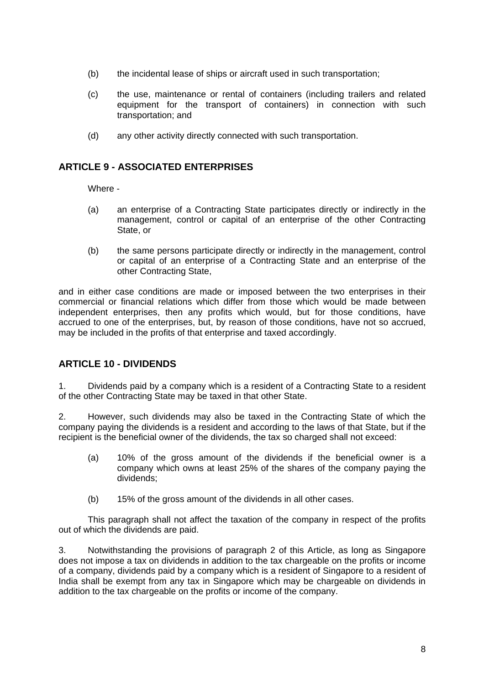- (b) the incidental lease of ships or aircraft used in such transportation;
- (c) the use, maintenance or rental of containers (including trailers and related equipment for the transport of containers) in connection with such transportation; and
- (d) any other activity directly connected with such transportation.

## **ARTICLE 9 - ASSOCIATED ENTERPRISES**

Where -

- (a) an enterprise of a Contracting State participates directly or indirectly in the management, control or capital of an enterprise of the other Contracting State, or
- (b) the same persons participate directly or indirectly in the management, control or capital of an enterprise of a Contracting State and an enterprise of the other Contracting State,

and in either case conditions are made or imposed between the two enterprises in their commercial or financial relations which differ from those which would be made between independent enterprises, then any profits which would, but for those conditions, have accrued to one of the enterprises, but, by reason of those conditions, have not so accrued, may be included in the profits of that enterprise and taxed accordingly.

# **ARTICLE 10 - DIVIDENDS**

1. Dividends paid by a company which is a resident of a Contracting State to a resident of the other Contracting State may be taxed in that other State.

2. However, such dividends may also be taxed in the Contracting State of which the company paying the dividends is a resident and according to the laws of that State, but if the recipient is the beneficial owner of the dividends, the tax so charged shall not exceed:

- (a) 10% of the gross amount of the dividends if the beneficial owner is a company which owns at least 25% of the shares of the company paying the dividends;
- (b) 15% of the gross amount of the dividends in all other cases.

This paragraph shall not affect the taxation of the company in respect of the profits out of which the dividends are paid.

3. Notwithstanding the provisions of paragraph 2 of this Article, as long as Singapore does not impose a tax on dividends in addition to the tax chargeable on the profits or income of a company, dividends paid by a company which is a resident of Singapore to a resident of India shall be exempt from any tax in Singapore which may be chargeable on dividends in addition to the tax chargeable on the profits or income of the company.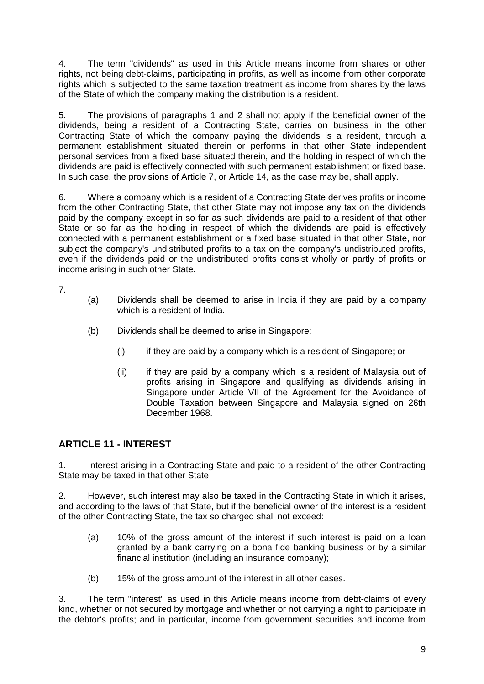4. The term "dividends" as used in this Article means income from shares or other rights, not being debt-claims, participating in profits, as well as income from other corporate rights which is subjected to the same taxation treatment as income from shares by the laws of the State of which the company making the distribution is a resident.

5. The provisions of paragraphs 1 and 2 shall not apply if the beneficial owner of the dividends, being a resident of a Contracting State, carries on business in the other Contracting State of which the company paying the dividends is a resident, through a permanent establishment situated therein or performs in that other State independent personal services from a fixed base situated therein, and the holding in respect of which the dividends are paid is effectively connected with such permanent establishment or fixed base. In such case, the provisions of Article 7, or Article 14, as the case may be, shall apply.

6. Where a company which is a resident of a Contracting State derives profits or income from the other Contracting State, that other State may not impose any tax on the dividends paid by the company except in so far as such dividends are paid to a resident of that other State or so far as the holding in respect of which the dividends are paid is effectively connected with a permanent establishment or a fixed base situated in that other State, nor subject the company's undistributed profits to a tax on the company's undistributed profits, even if the dividends paid or the undistributed profits consist wholly or partly of profits or income arising in such other State.

7.

- (a) Dividends shall be deemed to arise in India if they are paid by a company which is a resident of India.
- (b) Dividends shall be deemed to arise in Singapore:
	- (i) if they are paid by a company which is a resident of Singapore; or
	- (ii) if they are paid by a company which is a resident of Malaysia out of profits arising in Singapore and qualifying as dividends arising in Singapore under Article VII of the Agreement for the Avoidance of Double Taxation between Singapore and Malaysia signed on 26th December 1968.

# **ARTICLE 11 - INTEREST**

1. Interest arising in a Contracting State and paid to a resident of the other Contracting State may be taxed in that other State.

2. However, such interest may also be taxed in the Contracting State in which it arises, and according to the laws of that State, but if the beneficial owner of the interest is a resident of the other Contracting State, the tax so charged shall not exceed:

- (a) 10% of the gross amount of the interest if such interest is paid on a loan granted by a bank carrying on a bona fide banking business or by a similar financial institution (including an insurance company);
- (b) 15% of the gross amount of the interest in all other cases.

3. The term "interest" as used in this Article means income from debt-claims of every kind, whether or not secured by mortgage and whether or not carrying a right to participate in the debtor's profits; and in particular, income from government securities and income from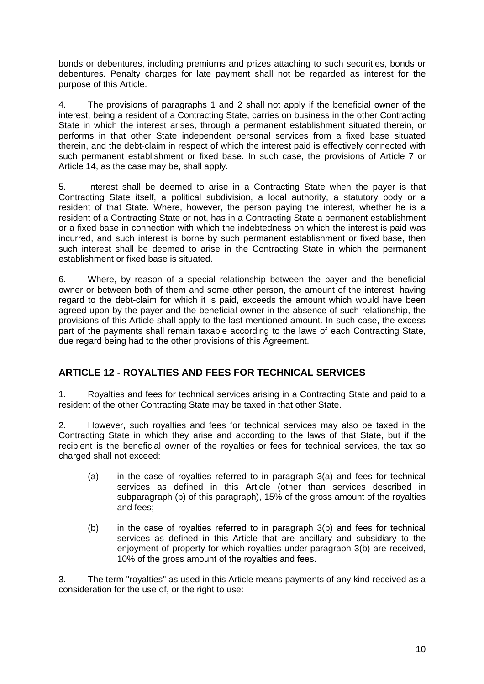bonds or debentures, including premiums and prizes attaching to such securities, bonds or debentures. Penalty charges for late payment shall not be regarded as interest for the purpose of this Article.

4. The provisions of paragraphs 1 and 2 shall not apply if the beneficial owner of the interest, being a resident of a Contracting State, carries on business in the other Contracting State in which the interest arises, through a permanent establishment situated therein, or performs in that other State independent personal services from a fixed base situated therein, and the debt-claim in respect of which the interest paid is effectively connected with such permanent establishment or fixed base. In such case, the provisions of Article 7 or Article 14, as the case may be, shall apply.

5. Interest shall be deemed to arise in a Contracting State when the payer is that Contracting State itself, a political subdivision, a local authority, a statutory body or a resident of that State. Where, however, the person paying the interest, whether he is a resident of a Contracting State or not, has in a Contracting State a permanent establishment or a fixed base in connection with which the indebtedness on which the interest is paid was incurred, and such interest is borne by such permanent establishment or fixed base, then such interest shall be deemed to arise in the Contracting State in which the permanent establishment or fixed base is situated.

6. Where, by reason of a special relationship between the payer and the beneficial owner or between both of them and some other person, the amount of the interest, having regard to the debt-claim for which it is paid, exceeds the amount which would have been agreed upon by the payer and the beneficial owner in the absence of such relationship, the provisions of this Article shall apply to the last-mentioned amount. In such case, the excess part of the payments shall remain taxable according to the laws of each Contracting State, due regard being had to the other provisions of this Agreement.

# **ARTICLE 12 - ROYALTIES AND FEES FOR TECHNICAL SERVICES**

1. Royalties and fees for technical services arising in a Contracting State and paid to a resident of the other Contracting State may be taxed in that other State.

2. However, such royalties and fees for technical services may also be taxed in the Contracting State in which they arise and according to the laws of that State, but if the recipient is the beneficial owner of the royalties or fees for technical services, the tax so charged shall not exceed:

- (a) in the case of royalties referred to in paragraph 3(a) and fees for technical services as defined in this Article (other than services described in subparagraph (b) of this paragraph), 15% of the gross amount of the royalties and fees;
- (b) in the case of royalties referred to in paragraph 3(b) and fees for technical services as defined in this Article that are ancillary and subsidiary to the enjoyment of property for which royalties under paragraph 3(b) are received, 10% of the gross amount of the royalties and fees.

3. The term "royalties" as used in this Article means payments of any kind received as a consideration for the use of, or the right to use: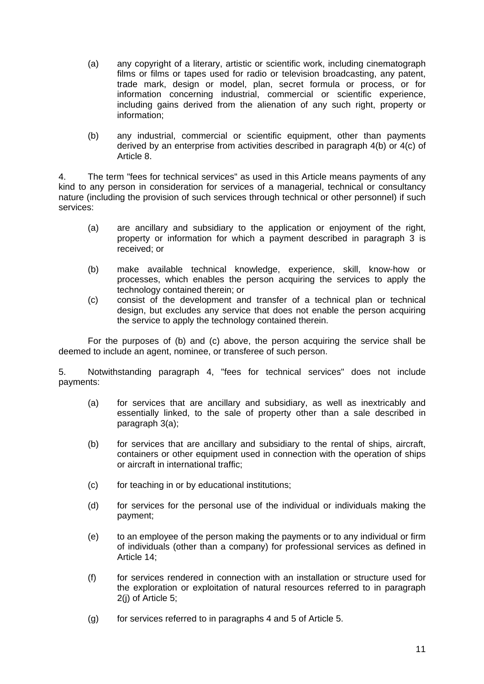- (a) any copyright of a literary, artistic or scientific work, including cinematograph films or films or tapes used for radio or television broadcasting, any patent, trade mark, design or model, plan, secret formula or process, or for information concerning industrial, commercial or scientific experience, including gains derived from the alienation of any such right, property or information;
- (b) any industrial, commercial or scientific equipment, other than payments derived by an enterprise from activities described in paragraph 4(b) or 4(c) of Article 8.

4. The term "fees for technical services" as used in this Article means payments of any kind to any person in consideration for services of a managerial, technical or consultancy nature (including the provision of such services through technical or other personnel) if such services:

- (a) are ancillary and subsidiary to the application or enjoyment of the right, property or information for which a payment described in paragraph 3 is received; or
- (b) make available technical knowledge, experience, skill, know-how or processes, which enables the person acquiring the services to apply the technology contained therein; or
- (c) consist of the development and transfer of a technical plan or technical design, but excludes any service that does not enable the person acquiring the service to apply the technology contained therein.

For the purposes of (b) and (c) above, the person acquiring the service shall be deemed to include an agent, nominee, or transferee of such person.

5. Notwithstanding paragraph 4, "fees for technical services" does not include payments:

- (a) for services that are ancillary and subsidiary, as well as inextricably and essentially linked, to the sale of property other than a sale described in paragraph 3(a);
- (b) for services that are ancillary and subsidiary to the rental of ships, aircraft, containers or other equipment used in connection with the operation of ships or aircraft in international traffic;
- (c) for teaching in or by educational institutions;
- (d) for services for the personal use of the individual or individuals making the payment;
- (e) to an employee of the person making the payments or to any individual or firm of individuals (other than a company) for professional services as defined in Article 14;
- (f) for services rendered in connection with an installation or structure used for the exploration or exploitation of natural resources referred to in paragraph 2(j) of Article 5;
- (g) for services referred to in paragraphs 4 and 5 of Article 5.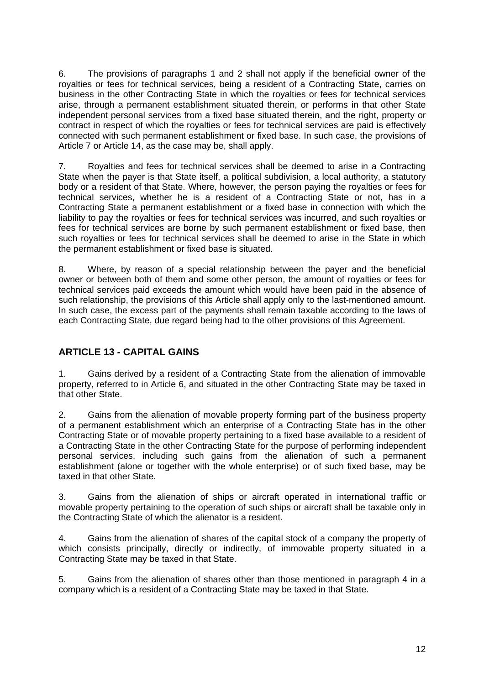6. The provisions of paragraphs 1 and 2 shall not apply if the beneficial owner of the royalties or fees for technical services, being a resident of a Contracting State, carries on business in the other Contracting State in which the royalties or fees for technical services arise, through a permanent establishment situated therein, or performs in that other State independent personal services from a fixed base situated therein, and the right, property or contract in respect of which the royalties or fees for technical services are paid is effectively connected with such permanent establishment or fixed base. In such case, the provisions of Article 7 or Article 14, as the case may be, shall apply.

7. Royalties and fees for technical services shall be deemed to arise in a Contracting State when the payer is that State itself, a political subdivision, a local authority, a statutory body or a resident of that State. Where, however, the person paying the royalties or fees for technical services, whether he is a resident of a Contracting State or not, has in a Contracting State a permanent establishment or a fixed base in connection with which the liability to pay the royalties or fees for technical services was incurred, and such royalties or fees for technical services are borne by such permanent establishment or fixed base, then such royalties or fees for technical services shall be deemed to arise in the State in which the permanent establishment or fixed base is situated.

8. Where, by reason of a special relationship between the payer and the beneficial owner or between both of them and some other person, the amount of royalties or fees for technical services paid exceeds the amount which would have been paid in the absence of such relationship, the provisions of this Article shall apply only to the last-mentioned amount. In such case, the excess part of the payments shall remain taxable according to the laws of each Contracting State, due regard being had to the other provisions of this Agreement.

# **ARTICLE 13 - CAPITAL GAINS**

1. Gains derived by a resident of a Contracting State from the alienation of immovable property, referred to in Article 6, and situated in the other Contracting State may be taxed in that other State.

2. Gains from the alienation of movable property forming part of the business property of a permanent establishment which an enterprise of a Contracting State has in the other Contracting State or of movable property pertaining to a fixed base available to a resident of a Contracting State in the other Contracting State for the purpose of performing independent personal services, including such gains from the alienation of such a permanent establishment (alone or together with the whole enterprise) or of such fixed base, may be taxed in that other State.

3. Gains from the alienation of ships or aircraft operated in international traffic or movable property pertaining to the operation of such ships or aircraft shall be taxable only in the Contracting State of which the alienator is a resident.

4. Gains from the alienation of shares of the capital stock of a company the property of which consists principally, directly or indirectly, of immovable property situated in a Contracting State may be taxed in that State.

5. Gains from the alienation of shares other than those mentioned in paragraph 4 in a company which is a resident of a Contracting State may be taxed in that State.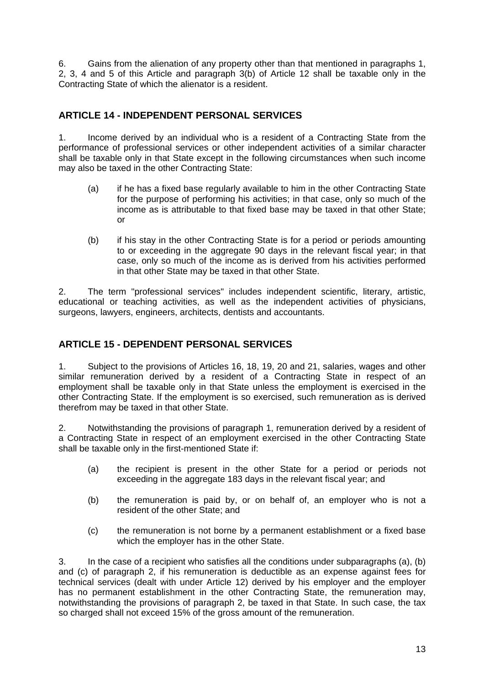6. Gains from the alienation of any property other than that mentioned in paragraphs 1, 2, 3, 4 and 5 of this Article and paragraph 3(b) of Article 12 shall be taxable only in the Contracting State of which the alienator is a resident.

# **ARTICLE 14 - INDEPENDENT PERSONAL SERVICES**

1. Income derived by an individual who is a resident of a Contracting State from the performance of professional services or other independent activities of a similar character shall be taxable only in that State except in the following circumstances when such income may also be taxed in the other Contracting State:

- (a) if he has a fixed base regularly available to him in the other Contracting State for the purpose of performing his activities; in that case, only so much of the income as is attributable to that fixed base may be taxed in that other State; or
- (b) if his stay in the other Contracting State is for a period or periods amounting to or exceeding in the aggregate 90 days in the relevant fiscal year; in that case, only so much of the income as is derived from his activities performed in that other State may be taxed in that other State.

2. The term "professional services" includes independent scientific, literary, artistic, educational or teaching activities, as well as the independent activities of physicians, surgeons, lawyers, engineers, architects, dentists and accountants.

# **ARTICLE 15 - DEPENDENT PERSONAL SERVICES**

1. Subject to the provisions of Articles 16, 18, 19, 20 and 21, salaries, wages and other similar remuneration derived by a resident of a Contracting State in respect of an employment shall be taxable only in that State unless the employment is exercised in the other Contracting State. If the employment is so exercised, such remuneration as is derived therefrom may be taxed in that other State.

2. Notwithstanding the provisions of paragraph 1, remuneration derived by a resident of a Contracting State in respect of an employment exercised in the other Contracting State shall be taxable only in the first-mentioned State if:

- (a) the recipient is present in the other State for a period or periods not exceeding in the aggregate 183 days in the relevant fiscal year; and
- (b) the remuneration is paid by, or on behalf of, an employer who is not a resident of the other State; and
- (c) the remuneration is not borne by a permanent establishment or a fixed base which the employer has in the other State.

3. In the case of a recipient who satisfies all the conditions under subparagraphs (a), (b) and (c) of paragraph 2, if his remuneration is deductible as an expense against fees for technical services (dealt with under Article 12) derived by his employer and the employer has no permanent establishment in the other Contracting State, the remuneration may, notwithstanding the provisions of paragraph 2, be taxed in that State. In such case, the tax so charged shall not exceed 15% of the gross amount of the remuneration.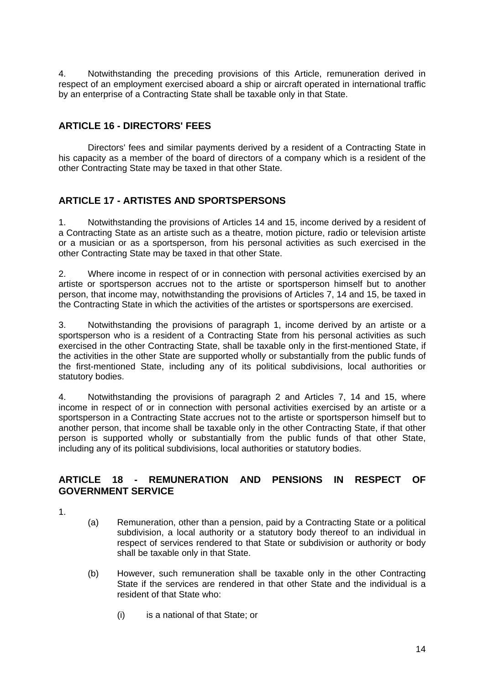4. Notwithstanding the preceding provisions of this Article, remuneration derived in respect of an employment exercised aboard a ship or aircraft operated in international traffic by an enterprise of a Contracting State shall be taxable only in that State.

# **ARTICLE 16 - DIRECTORS' FEES**

Directors' fees and similar payments derived by a resident of a Contracting State in his capacity as a member of the board of directors of a company which is a resident of the other Contracting State may be taxed in that other State.

# **ARTICLE 17 - ARTISTES AND SPORTSPERSONS**

1. Notwithstanding the provisions of Articles 14 and 15, income derived by a resident of a Contracting State as an artiste such as a theatre, motion picture, radio or television artiste or a musician or as a sportsperson, from his personal activities as such exercised in the other Contracting State may be taxed in that other State.

2. Where income in respect of or in connection with personal activities exercised by an artiste or sportsperson accrues not to the artiste or sportsperson himself but to another person, that income may, notwithstanding the provisions of Articles 7, 14 and 15, be taxed in the Contracting State in which the activities of the artistes or sportspersons are exercised.

3. Notwithstanding the provisions of paragraph 1, income derived by an artiste or a sportsperson who is a resident of a Contracting State from his personal activities as such exercised in the other Contracting State, shall be taxable only in the first-mentioned State, if the activities in the other State are supported wholly or substantially from the public funds of the first-mentioned State, including any of its political subdivisions, local authorities or statutory bodies.

4. Notwithstanding the provisions of paragraph 2 and Articles 7, 14 and 15, where income in respect of or in connection with personal activities exercised by an artiste or a sportsperson in a Contracting State accrues not to the artiste or sportsperson himself but to another person, that income shall be taxable only in the other Contracting State, if that other person is supported wholly or substantially from the public funds of that other State, including any of its political subdivisions, local authorities or statutory bodies.

## **ARTICLE 18 - REMUNERATION AND PENSIONS IN RESPECT OF GOVERNMENT SERVICE**

- 1.
- (a) Remuneration, other than a pension, paid by a Contracting State or a political subdivision, a local authority or a statutory body thereof to an individual in respect of services rendered to that State or subdivision or authority or body shall be taxable only in that State.
- (b) However, such remuneration shall be taxable only in the other Contracting State if the services are rendered in that other State and the individual is a resident of that State who:
	- (i) is a national of that State; or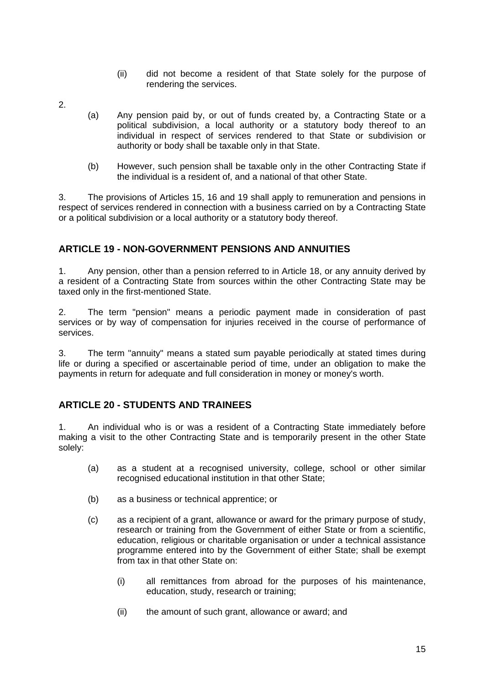- (ii) did not become a resident of that State solely for the purpose of rendering the services.
- 2.
- (a) Any pension paid by, or out of funds created by, a Contracting State or a political subdivision, a local authority or a statutory body thereof to an individual in respect of services rendered to that State or subdivision or authority or body shall be taxable only in that State.
- (b) However, such pension shall be taxable only in the other Contracting State if the individual is a resident of, and a national of that other State.

3. The provisions of Articles 15, 16 and 19 shall apply to remuneration and pensions in respect of services rendered in connection with a business carried on by a Contracting State or a political subdivision or a local authority or a statutory body thereof.

# **ARTICLE 19 - NON-GOVERNMENT PENSIONS AND ANNUITIES**

1. Any pension, other than a pension referred to in Article 18, or any annuity derived by a resident of a Contracting State from sources within the other Contracting State may be taxed only in the first-mentioned State.

2. The term "pension" means a periodic payment made in consideration of past services or by way of compensation for injuries received in the course of performance of services.

3. The term "annuity" means a stated sum payable periodically at stated times during life or during a specified or ascertainable period of time, under an obligation to make the payments in return for adequate and full consideration in money or money's worth.

## **ARTICLE 20 - STUDENTS AND TRAINEES**

1. An individual who is or was a resident of a Contracting State immediately before making a visit to the other Contracting State and is temporarily present in the other State solely:

- (a) as a student at a recognised university, college, school or other similar recognised educational institution in that other State;
- (b) as a business or technical apprentice; or
- (c) as a recipient of a grant, allowance or award for the primary purpose of study, research or training from the Government of either State or from a scientific, education, religious or charitable organisation or under a technical assistance programme entered into by the Government of either State; shall be exempt from tax in that other State on:
	- (i) all remittances from abroad for the purposes of his maintenance, education, study, research or training;
	- (ii) the amount of such grant, allowance or award; and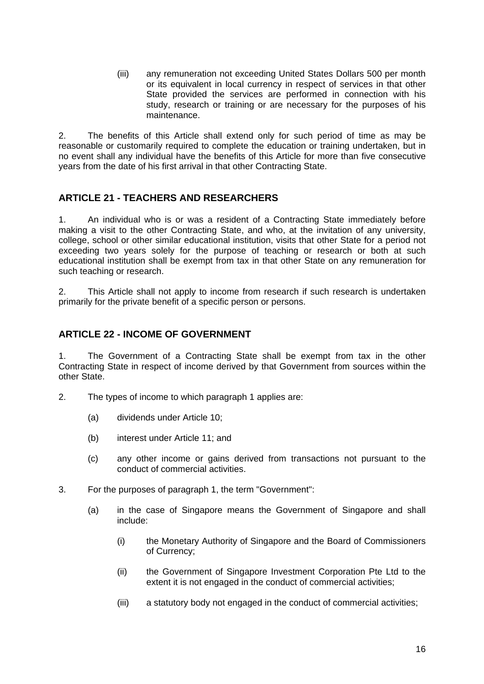(iii) any remuneration not exceeding United States Dollars 500 per month or its equivalent in local currency in respect of services in that other State provided the services are performed in connection with his study, research or training or are necessary for the purposes of his maintenance.

2. The benefits of this Article shall extend only for such period of time as may be reasonable or customarily required to complete the education or training undertaken, but in no event shall any individual have the benefits of this Article for more than five consecutive years from the date of his first arrival in that other Contracting State.

# **ARTICLE 21 - TEACHERS AND RESEARCHERS**

1. An individual who is or was a resident of a Contracting State immediately before making a visit to the other Contracting State, and who, at the invitation of any university, college, school or other similar educational institution, visits that other State for a period not exceeding two years solely for the purpose of teaching or research or both at such educational institution shall be exempt from tax in that other State on any remuneration for such teaching or research.

2. This Article shall not apply to income from research if such research is undertaken primarily for the private benefit of a specific person or persons.

## **ARTICLE 22 - INCOME OF GOVERNMENT**

1. The Government of a Contracting State shall be exempt from tax in the other Contracting State in respect of income derived by that Government from sources within the other State.

- 2. The types of income to which paragraph 1 applies are:
	- (a) dividends under Article 10;
	- (b) interest under Article 11; and
	- (c) any other income or gains derived from transactions not pursuant to the conduct of commercial activities.
- 3. For the purposes of paragraph 1, the term "Government":
	- (a) in the case of Singapore means the Government of Singapore and shall include:
		- (i) the Monetary Authority of Singapore and the Board of Commissioners of Currency;
		- (ii) the Government of Singapore Investment Corporation Pte Ltd to the extent it is not engaged in the conduct of commercial activities;
		- (iii) a statutory body not engaged in the conduct of commercial activities;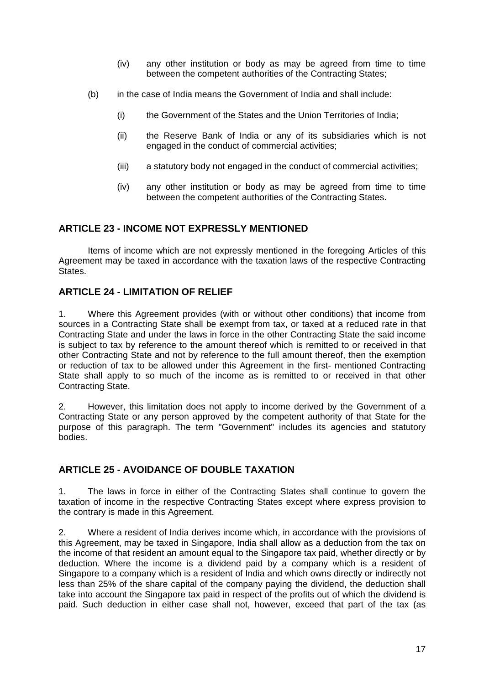- (iv) any other institution or body as may be agreed from time to time between the competent authorities of the Contracting States;
- (b) in the case of India means the Government of India and shall include:
	- (i) the Government of the States and the Union Territories of India;
	- (ii) the Reserve Bank of India or any of its subsidiaries which is not engaged in the conduct of commercial activities;
	- (iii) a statutory body not engaged in the conduct of commercial activities;
	- (iv) any other institution or body as may be agreed from time to time between the competent authorities of the Contracting States.

## **ARTICLE 23 - INCOME NOT EXPRESSLY MENTIONED**

Items of income which are not expressly mentioned in the foregoing Articles of this Agreement may be taxed in accordance with the taxation laws of the respective Contracting States.

## **ARTICLE 24 - LIMITATION OF RELIEF**

1. Where this Agreement provides (with or without other conditions) that income from sources in a Contracting State shall be exempt from tax, or taxed at a reduced rate in that Contracting State and under the laws in force in the other Contracting State the said income is subject to tax by reference to the amount thereof which is remitted to or received in that other Contracting State and not by reference to the full amount thereof, then the exemption or reduction of tax to be allowed under this Agreement in the first- mentioned Contracting State shall apply to so much of the income as is remitted to or received in that other Contracting State.

2. However, this limitation does not apply to income derived by the Government of a Contracting State or any person approved by the competent authority of that State for the purpose of this paragraph. The term "Government" includes its agencies and statutory bodies.

# **ARTICLE 25 - AVOIDANCE OF DOUBLE TAXATION**

1. The laws in force in either of the Contracting States shall continue to govern the taxation of income in the respective Contracting States except where express provision to the contrary is made in this Agreement.

2. Where a resident of India derives income which, in accordance with the provisions of this Agreement, may be taxed in Singapore, India shall allow as a deduction from the tax on the income of that resident an amount equal to the Singapore tax paid, whether directly or by deduction. Where the income is a dividend paid by a company which is a resident of Singapore to a company which is a resident of India and which owns directly or indirectly not less than 25% of the share capital of the company paying the dividend, the deduction shall take into account the Singapore tax paid in respect of the profits out of which the dividend is paid. Such deduction in either case shall not, however, exceed that part of the tax (as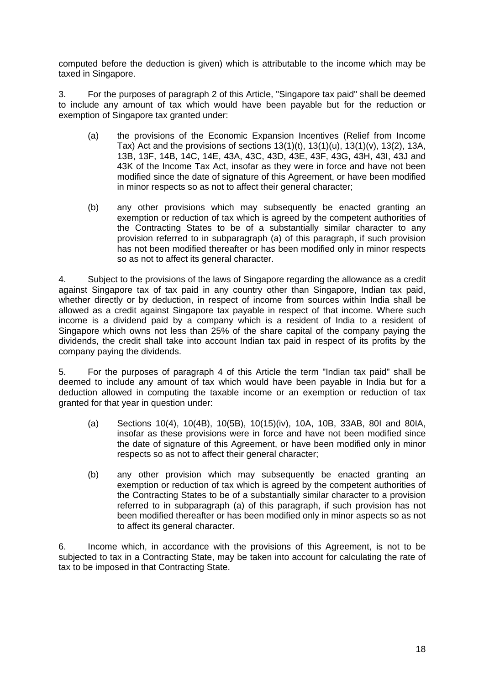computed before the deduction is given) which is attributable to the income which may be taxed in Singapore.

3. For the purposes of paragraph 2 of this Article, "Singapore tax paid" shall be deemed to include any amount of tax which would have been payable but for the reduction or exemption of Singapore tax granted under:

- (a) the provisions of the Economic Expansion Incentives (Relief from Income Tax) Act and the provisions of sections  $13(1)(t)$ ,  $13(1)(u)$ ,  $13(1)(v)$ ,  $13(2)$ ,  $13A$ , 13B, 13F, 14B, 14C, 14E, 43A, 43C, 43D, 43E, 43F, 43G, 43H, 43I, 43J and 43K of the Income Tax Act, insofar as they were in force and have not been modified since the date of signature of this Agreement, or have been modified in minor respects so as not to affect their general character;
- (b) any other provisions which may subsequently be enacted granting an exemption or reduction of tax which is agreed by the competent authorities of the Contracting States to be of a substantially similar character to any provision referred to in subparagraph (a) of this paragraph, if such provision has not been modified thereafter or has been modified only in minor respects so as not to affect its general character.

4. Subject to the provisions of the laws of Singapore regarding the allowance as a credit against Singapore tax of tax paid in any country other than Singapore, Indian tax paid, whether directly or by deduction, in respect of income from sources within India shall be allowed as a credit against Singapore tax payable in respect of that income. Where such income is a dividend paid by a company which is a resident of India to a resident of Singapore which owns not less than 25% of the share capital of the company paying the dividends, the credit shall take into account Indian tax paid in respect of its profits by the company paying the dividends.

5. For the purposes of paragraph 4 of this Article the term "Indian tax paid" shall be deemed to include any amount of tax which would have been payable in India but for a deduction allowed in computing the taxable income or an exemption or reduction of tax granted for that year in question under:

- (a) Sections 10(4), 10(4B), 10(5B), 10(15)(iv), 10A, 10B, 33AB, 80I and 80IA, insofar as these provisions were in force and have not been modified since the date of signature of this Agreement, or have been modified only in minor respects so as not to affect their general character;
- (b) any other provision which may subsequently be enacted granting an exemption or reduction of tax which is agreed by the competent authorities of the Contracting States to be of a substantially similar character to a provision referred to in subparagraph (a) of this paragraph, if such provision has not been modified thereafter or has been modified only in minor aspects so as not to affect its general character.

6. Income which, in accordance with the provisions of this Agreement, is not to be subjected to tax in a Contracting State, may be taken into account for calculating the rate of tax to be imposed in that Contracting State.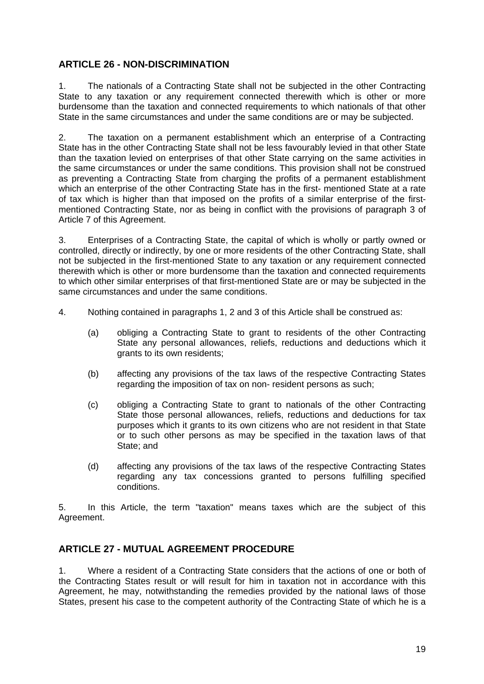## **ARTICLE 26 - NON-DISCRIMINATION**

1. The nationals of a Contracting State shall not be subjected in the other Contracting State to any taxation or any requirement connected therewith which is other or more burdensome than the taxation and connected requirements to which nationals of that other State in the same circumstances and under the same conditions are or may be subjected.

2. The taxation on a permanent establishment which an enterprise of a Contracting State has in the other Contracting State shall not be less favourably levied in that other State than the taxation levied on enterprises of that other State carrying on the same activities in the same circumstances or under the same conditions. This provision shall not be construed as preventing a Contracting State from charging the profits of a permanent establishment which an enterprise of the other Contracting State has in the first- mentioned State at a rate of tax which is higher than that imposed on the profits of a similar enterprise of the firstmentioned Contracting State, nor as being in conflict with the provisions of paragraph 3 of Article 7 of this Agreement.

3. Enterprises of a Contracting State, the capital of which is wholly or partly owned or controlled, directly or indirectly, by one or more residents of the other Contracting State, shall not be subjected in the first-mentioned State to any taxation or any requirement connected therewith which is other or more burdensome than the taxation and connected requirements to which other similar enterprises of that first-mentioned State are or may be subjected in the same circumstances and under the same conditions.

- 4. Nothing contained in paragraphs 1, 2 and 3 of this Article shall be construed as:
	- (a) obliging a Contracting State to grant to residents of the other Contracting State any personal allowances, reliefs, reductions and deductions which it grants to its own residents;
	- (b) affecting any provisions of the tax laws of the respective Contracting States regarding the imposition of tax on non- resident persons as such;
	- (c) obliging a Contracting State to grant to nationals of the other Contracting State those personal allowances, reliefs, reductions and deductions for tax purposes which it grants to its own citizens who are not resident in that State or to such other persons as may be specified in the taxation laws of that State; and
	- (d) affecting any provisions of the tax laws of the respective Contracting States regarding any tax concessions granted to persons fulfilling specified conditions.

5. In this Article, the term "taxation" means taxes which are the subject of this Agreement.

## **ARTICLE 27 - MUTUAL AGREEMENT PROCEDURE**

1. Where a resident of a Contracting State considers that the actions of one or both of the Contracting States result or will result for him in taxation not in accordance with this Agreement, he may, notwithstanding the remedies provided by the national laws of those States, present his case to the competent authority of the Contracting State of which he is a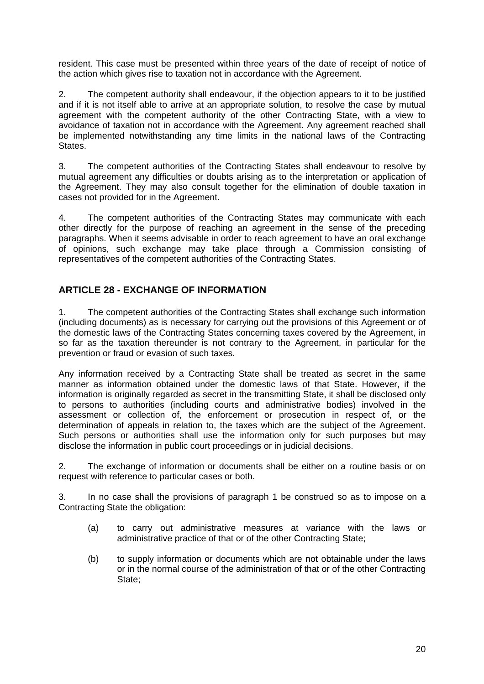resident. This case must be presented within three years of the date of receipt of notice of the action which gives rise to taxation not in accordance with the Agreement.

2. The competent authority shall endeavour, if the objection appears to it to be justified and if it is not itself able to arrive at an appropriate solution, to resolve the case by mutual agreement with the competent authority of the other Contracting State, with a view to avoidance of taxation not in accordance with the Agreement. Any agreement reached shall be implemented notwithstanding any time limits in the national laws of the Contracting States.

3. The competent authorities of the Contracting States shall endeavour to resolve by mutual agreement any difficulties or doubts arising as to the interpretation or application of the Agreement. They may also consult together for the elimination of double taxation in cases not provided for in the Agreement.

4. The competent authorities of the Contracting States may communicate with each other directly for the purpose of reaching an agreement in the sense of the preceding paragraphs. When it seems advisable in order to reach agreement to have an oral exchange of opinions, such exchange may take place through a Commission consisting of representatives of the competent authorities of the Contracting States.

# **ARTICLE 28 - EXCHANGE OF INFORMATION**

1. The competent authorities of the Contracting States shall exchange such information (including documents) as is necessary for carrying out the provisions of this Agreement or of the domestic laws of the Contracting States concerning taxes covered by the Agreement, in so far as the taxation thereunder is not contrary to the Agreement, in particular for the prevention or fraud or evasion of such taxes.

Any information received by a Contracting State shall be treated as secret in the same manner as information obtained under the domestic laws of that State. However, if the information is originally regarded as secret in the transmitting State, it shall be disclosed only to persons to authorities (including courts and administrative bodies) involved in the assessment or collection of, the enforcement or prosecution in respect of, or the determination of appeals in relation to, the taxes which are the subject of the Agreement. Such persons or authorities shall use the information only for such purposes but may disclose the information in public court proceedings or in judicial decisions.

2. The exchange of information or documents shall be either on a routine basis or on request with reference to particular cases or both.

3. In no case shall the provisions of paragraph 1 be construed so as to impose on a Contracting State the obligation:

- (a) to carry out administrative measures at variance with the laws or administrative practice of that or of the other Contracting State;
- (b) to supply information or documents which are not obtainable under the laws or in the normal course of the administration of that or of the other Contracting State;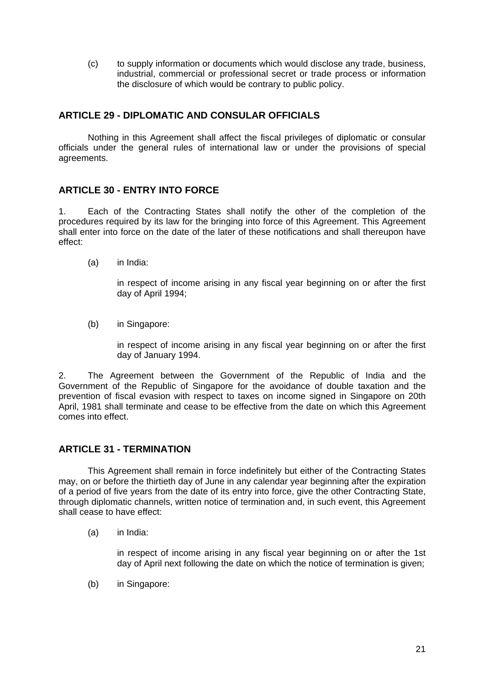(c) to supply information or documents which would disclose any trade, business, industrial, commercial or professional secret or trade process or information the disclosure of which would be contrary to public policy.

## **ARTICLE 29 - DIPLOMATIC AND CONSULAR OFFICIALS**

Nothing in this Agreement shall affect the fiscal privileges of diplomatic or consular officials under the general rules of international law or under the provisions of special agreements.

## **ARTICLE 30 - ENTRY INTO FORCE**

1. Each of the Contracting States shall notify the other of the completion of the procedures required by its law for the bringing into force of this Agreement. This Agreement shall enter into force on the date of the later of these notifications and shall thereupon have effect:

(a) in India:

in respect of income arising in any fiscal year beginning on or after the first day of April 1994;

(b) in Singapore:

in respect of income arising in any fiscal year beginning on or after the first day of January 1994.

2. The Agreement between the Government of the Republic of India and the Government of the Republic of Singapore for the avoidance of double taxation and the prevention of fiscal evasion with respect to taxes on income signed in Singapore on 20th April, 1981 shall terminate and cease to be effective from the date on which this Agreement comes into effect.

## **ARTICLE 31 - TERMINATION**

This Agreement shall remain in force indefinitely but either of the Contracting States may, on or before the thirtieth day of June in any calendar year beginning after the expiration of a period of five years from the date of its entry into force, give the other Contracting State, through diplomatic channels, written notice of termination and, in such event, this Agreement shall cease to have effect:

(a) in India:

 in respect of income arising in any fiscal year beginning on or after the 1st day of April next following the date on which the notice of termination is given;

(b) in Singapore: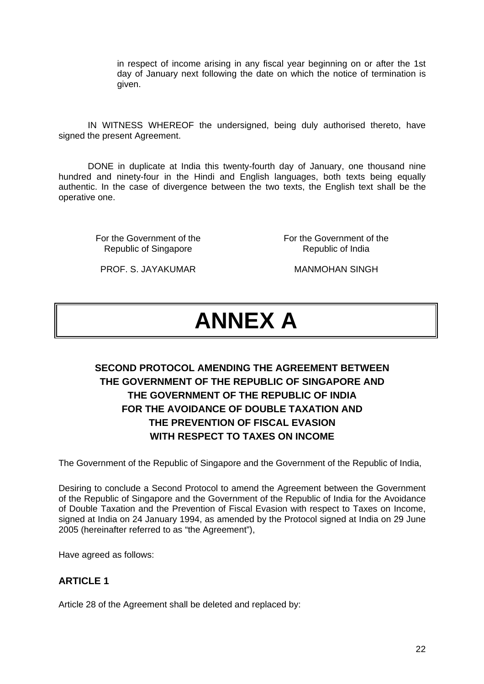in respect of income arising in any fiscal year beginning on or after the 1st day of January next following the date on which the notice of termination is given.

IN WITNESS WHEREOF the undersigned, being duly authorised thereto, have signed the present Agreement.

DONE in duplicate at India this twenty-fourth day of January, one thousand nine hundred and ninety-four in the Hindi and English languages, both texts being equally authentic. In the case of divergence between the two texts, the English text shall be the operative one.

> For the Government of the Republic of Singapore

For the Government of the Republic of India

PROF. S. JAYAKUMAR MANMOHAN SINGH

# **ANNEX A**

# **SECOND PROTOCOL AMENDING THE AGREEMENT BETWEEN THE GOVERNMENT OF THE REPUBLIC OF SINGAPORE AND THE GOVERNMENT OF THE REPUBLIC OF INDIA FOR THE AVOIDANCE OF DOUBLE TAXATION AND THE PREVENTION OF FISCAL EVASION WITH RESPECT TO TAXES ON INCOME**

The Government of the Republic of Singapore and the Government of the Republic of India,

Desiring to conclude a Second Protocol to amend the Agreement between the Government of the Republic of Singapore and the Government of the Republic of India for the Avoidance of Double Taxation and the Prevention of Fiscal Evasion with respect to Taxes on Income, signed at India on 24 January 1994, as amended by the Protocol signed at India on 29 June 2005 (hereinafter referred to as "the Agreement"),

Have agreed as follows:

## **ARTICLE 1**

Article 28 of the Agreement shall be deleted and replaced by: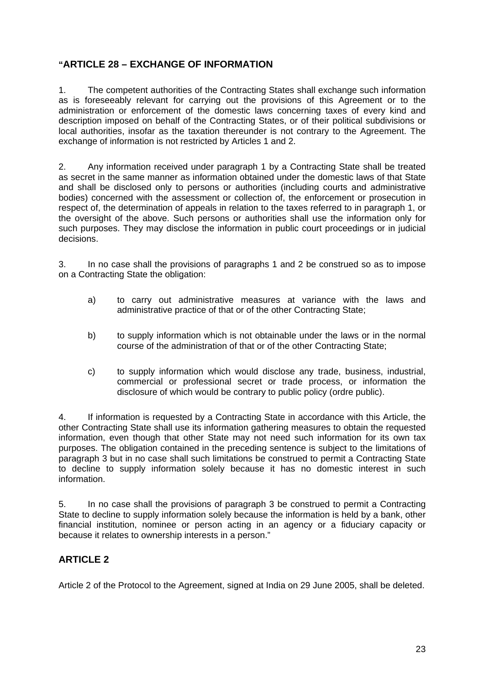# **"ARTICLE 28 – EXCHANGE OF INFORMATION**

1. The competent authorities of the Contracting States shall exchange such information as is foreseeably relevant for carrying out the provisions of this Agreement or to the administration or enforcement of the domestic laws concerning taxes of every kind and description imposed on behalf of the Contracting States, or of their political subdivisions or local authorities, insofar as the taxation thereunder is not contrary to the Agreement. The exchange of information is not restricted by Articles 1 and 2.

2. Any information received under paragraph 1 by a Contracting State shall be treated as secret in the same manner as information obtained under the domestic laws of that State and shall be disclosed only to persons or authorities (including courts and administrative bodies) concerned with the assessment or collection of, the enforcement or prosecution in respect of, the determination of appeals in relation to the taxes referred to in paragraph 1, or the oversight of the above. Such persons or authorities shall use the information only for such purposes. They may disclose the information in public court proceedings or in judicial decisions.

3. In no case shall the provisions of paragraphs 1 and 2 be construed so as to impose on a Contracting State the obligation:

- a) to carry out administrative measures at variance with the laws and administrative practice of that or of the other Contracting State;
- b) to supply information which is not obtainable under the laws or in the normal course of the administration of that or of the other Contracting State;
- c) to supply information which would disclose any trade, business, industrial, commercial or professional secret or trade process, or information the disclosure of which would be contrary to public policy (ordre public).

4. If information is requested by a Contracting State in accordance with this Article, the other Contracting State shall use its information gathering measures to obtain the requested information, even though that other State may not need such information for its own tax purposes. The obligation contained in the preceding sentence is subject to the limitations of paragraph 3 but in no case shall such limitations be construed to permit a Contracting State to decline to supply information solely because it has no domestic interest in such information.

5. In no case shall the provisions of paragraph 3 be construed to permit a Contracting State to decline to supply information solely because the information is held by a bank, other financial institution, nominee or person acting in an agency or a fiduciary capacity or because it relates to ownership interests in a person."

# **ARTICLE 2**

Article 2 of the Protocol to the Agreement, signed at India on 29 June 2005, shall be deleted.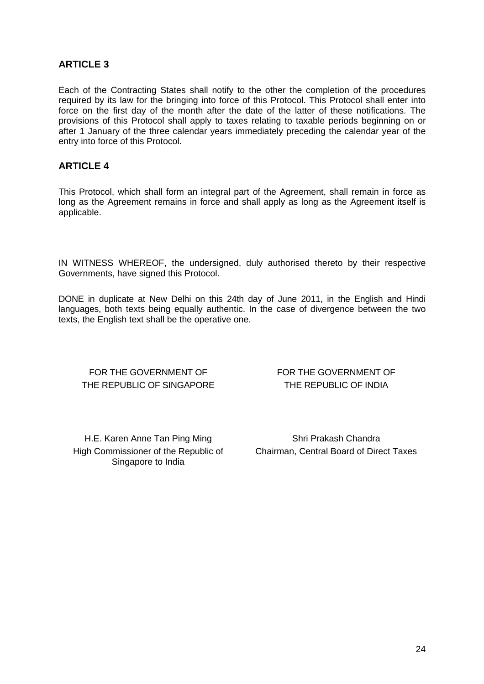## **ARTICLE 3**

Each of the Contracting States shall notify to the other the completion of the procedures required by its law for the bringing into force of this Protocol. This Protocol shall enter into force on the first day of the month after the date of the latter of these notifications. The provisions of this Protocol shall apply to taxes relating to taxable periods beginning on or after 1 January of the three calendar years immediately preceding the calendar year of the entry into force of this Protocol.

## **ARTICLE 4**

This Protocol, which shall form an integral part of the Agreement, shall remain in force as long as the Agreement remains in force and shall apply as long as the Agreement itself is applicable.

IN WITNESS WHEREOF, the undersigned, duly authorised thereto by their respective Governments, have signed this Protocol.

DONE in duplicate at New Delhi on this 24th day of June 2011, in the English and Hindi languages, both texts being equally authentic. In the case of divergence between the two texts, the English text shall be the operative one.

## FOR THE GOVERNMENT OF THE REPUBLIC OF SINGAPORE

FOR THE GOVERNMENT OF THE REPUBLIC OF INDIA

H.E. Karen Anne Tan Ping Ming Singapore to India

High Commissioner of the Republic of Chairman, Central Board of Direct Taxes Shri Prakash Chandra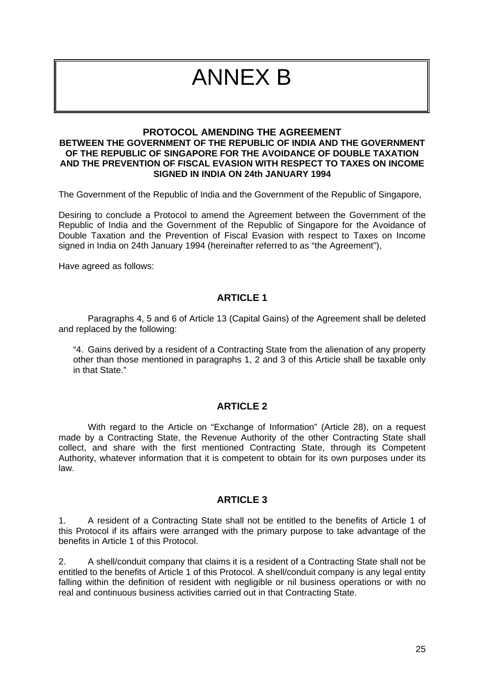# ANNEX B

#### **PROTOCOL AMENDING THE AGREEMENT BETWEEN THE GOVERNMENT OF THE REPUBLIC OF INDIA AND THE GOVERNMENT OF THE REPUBLIC OF SINGAPORE FOR THE AVOIDANCE OF DOUBLE TAXATION AND THE PREVENTION OF FISCAL EVASION WITH RESPECT TO TAXES ON INCOME SIGNED IN INDIA ON 24th JANUARY 1994**

The Government of the Republic of India and the Government of the Republic of Singapore,

Desiring to conclude a Protocol to amend the Agreement between the Government of the Republic of India and the Government of the Republic of Singapore for the Avoidance of Double Taxation and the Prevention of Fiscal Evasion with respect to Taxes on Income signed in India on 24th January 1994 (hereinafter referred to as "the Agreement"),

Have agreed as follows:

#### **ARTICLE 1**

Paragraphs 4, 5 and 6 of Article 13 (Capital Gains) of the Agreement shall be deleted and replaced by the following:

"4. Gains derived by a resident of a Contracting State from the alienation of any property other than those mentioned in paragraphs 1, 2 and 3 of this Article shall be taxable only in that State."

#### **ARTICLE 2**

With regard to the Article on "Exchange of Information" (Article 28), on a request made by a Contracting State, the Revenue Authority of the other Contracting State shall collect, and share with the first mentioned Contracting State, through its Competent Authority, whatever information that it is competent to obtain for its own purposes under its law.

#### **ARTICLE 3**

1. A resident of a Contracting State shall not be entitled to the benefits of Article 1 of this Protocol if its affairs were arranged with the primary purpose to take advantage of the benefits in Article 1 of this Protocol.

2. A shell/conduit company that claims it is a resident of a Contracting State shall not be entitled to the benefits of Article 1 of this Protocol. A shell/conduit company is any legal entity falling within the definition of resident with negligible or nil business operations or with no real and continuous business activities carried out in that Contracting State.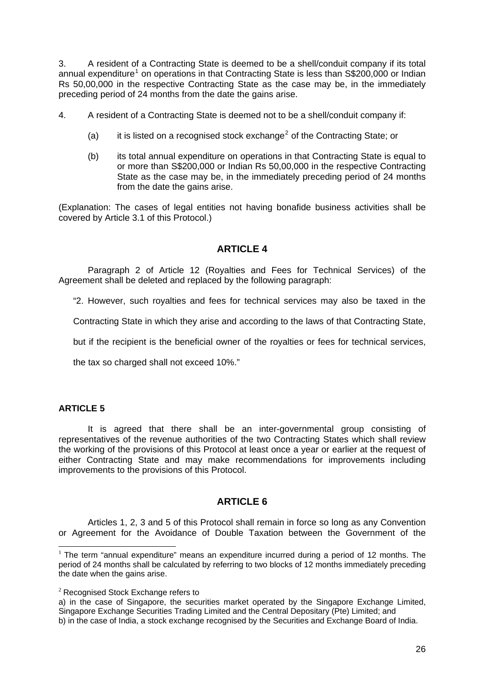3. A resident of a Contracting State is deemed to be a shell/conduit company if its total annual expenditure<sup>[1](#page-25-0)</sup> on operations in that Contracting State is less than S\$200,000 or Indian Rs 50,00,000 in the respective Contracting State as the case may be, in the immediately preceding period of 24 months from the date the gains arise.

4. A resident of a Contracting State is deemed not to be a shell/conduit company if:

- (a) it is listed on a recognised stock exchange<sup>[2](#page-25-1)</sup> of the Contracting State; or
- (b) its total annual expenditure on operations in that Contracting State is equal to or more than S\$200,000 or Indian Rs 50,00,000 in the respective Contracting State as the case may be, in the immediately preceding period of 24 months from the date the gains arise.

(Explanation: The cases of legal entities not having bonafide business activities shall be covered by Article 3.1 of this Protocol.)

## **ARTICLE 4**

Paragraph 2 of Article 12 (Royalties and Fees for Technical Services) of the Agreement shall be deleted and replaced by the following paragraph:

"2. However, such royalties and fees for technical services may also be taxed in the

Contracting State in which they arise and according to the laws of that Contracting State,

but if the recipient is the beneficial owner of the royalties or fees for technical services,

the tax so charged shall not exceed 10%."

#### **ARTICLE 5**

It is agreed that there shall be an inter-governmental group consisting of representatives of the revenue authorities of the two Contracting States which shall review the working of the provisions of this Protocol at least once a year or earlier at the request of either Contracting State and may make recommendations for improvements including improvements to the provisions of this Protocol.

## **ARTICLE 6**

Articles 1, 2, 3 and 5 of this Protocol shall remain in force so long as any Convention or Agreement for the Avoidance of Double Taxation between the Government of the

<span id="page-25-0"></span> $1$  The term "annual expenditure" means an expenditure incurred during a period of 12 months. The period of 24 months shall be calculated by referring to two blocks of 12 months immediately preceding the date when the gains arise.

<span id="page-25-1"></span><sup>&</sup>lt;sup>2</sup> Recognised Stock Exchange refers to

a) in the case of Singapore, the securities market operated by the Singapore Exchange Limited, Singapore Exchange Securities Trading Limited and the Central Depositary (Pte) Limited; and b) in the case of India, a stock exchange recognised by the Securities and Exchange Board of India.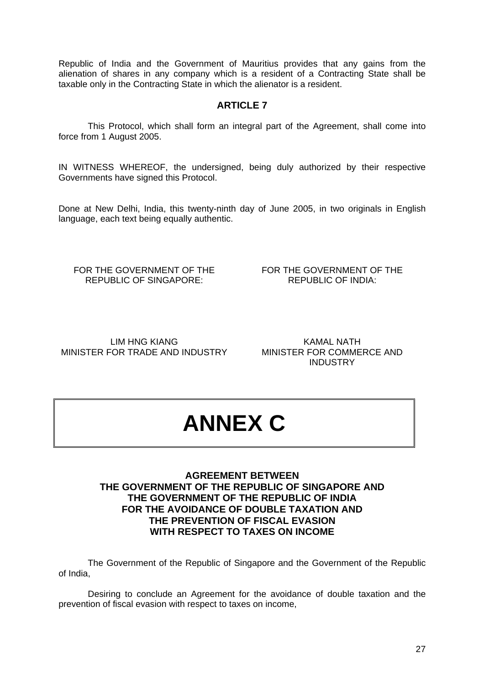Republic of India and the Government of Mauritius provides that any gains from the alienation of shares in any company which is a resident of a Contracting State shall be taxable only in the Contracting State in which the alienator is a resident.

# **ARTICLE 7**

This Protocol, which shall form an integral part of the Agreement, shall come into force from 1 August 2005.

IN WITNESS WHEREOF, the undersigned, being duly authorized by their respective Governments have signed this Protocol.

Done at New Delhi, India, this twenty-ninth day of June 2005, in two originals in English language, each text being equally authentic.

FOR THE GOVERNMENT OF THE REPUBLIC OF SINGAPORE:

FOR THE GOVERNMENT OF THE REPUBLIC OF INDIA:

LIM HNG KIANG MINISTER FOR TRADE AND INDUSTRY

KAMAL NATH MINISTER FOR COMMERCE AND INDUSTRY

# **ANNEX C**

#### **AGREEMENT BETWEEN THE GOVERNMENT OF THE REPUBLIC OF SINGAPORE AND THE GOVERNMENT OF THE REPUBLIC OF INDIA FOR THE AVOIDANCE OF DOUBLE TAXATION AND THE PREVENTION OF FISCAL EVASION WITH RESPECT TO TAXES ON INCOME**

 The Government of the Republic of Singapore and the Government of the Republic of India,

 Desiring to conclude an Agreement for the avoidance of double taxation and the prevention of fiscal evasion with respect to taxes on income,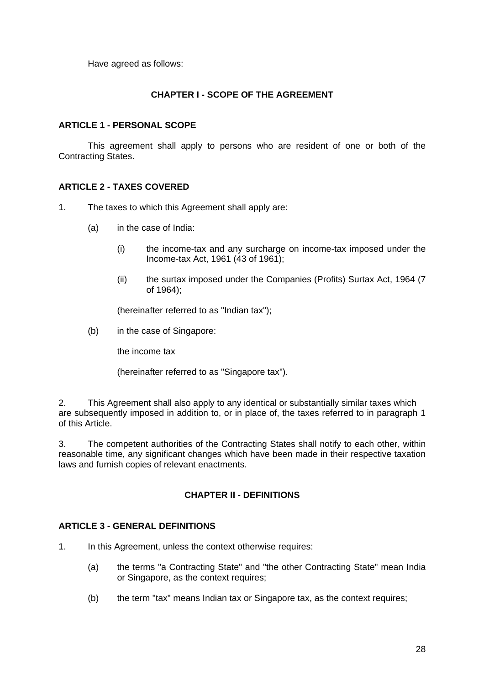Have agreed as follows:

#### **CHAPTER I - SCOPE OF THE AGREEMENT**

#### **ARTICLE 1 - PERSONAL SCOPE**

This agreement shall apply to persons who are resident of one or both of the Contracting States.

#### **ARTICLE 2 - TAXES COVERED**

- 1. The taxes to which this Agreement shall apply are:
	- (a) in the case of India:
		- (i) the income-tax and any surcharge on income-tax imposed under the Income-tax Act, 1961 (43 of 1961);
		- (ii) the surtax imposed under the Companies (Profits) Surtax Act, 1964 (7 of 1964);

(hereinafter referred to as "Indian tax");

(b) in the case of Singapore:

the income tax

(hereinafter referred to as "Singapore tax").

2. This Agreement shall also apply to any identical or substantially similar taxes which are subsequently imposed in addition to, or in place of, the taxes referred to in paragraph 1 of this Article.

3. The competent authorities of the Contracting States shall notify to each other, within reasonable time, any significant changes which have been made in their respective taxation laws and furnish copies of relevant enactments.

#### **CHAPTER II - DEFINITIONS**

#### **ARTICLE 3 - GENERAL DEFINITIONS**

- 1. In this Agreement, unless the context otherwise requires:
	- (a) the terms "a Contracting State" and "the other Contracting State" mean India or Singapore, as the context requires;
	- (b) the term "tax" means Indian tax or Singapore tax, as the context requires;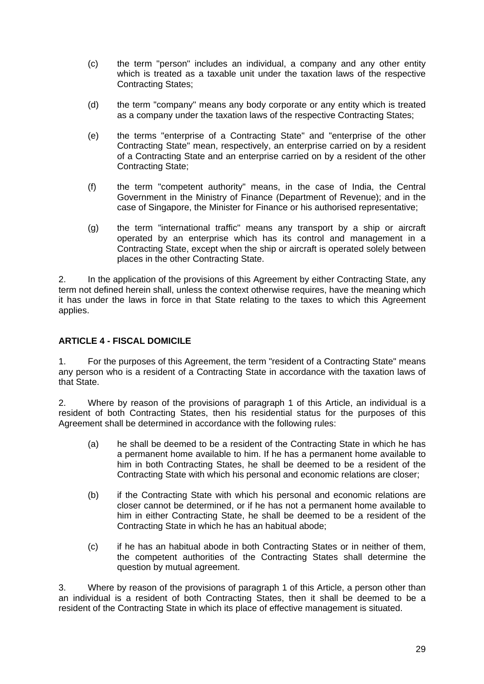- (c) the term "person" includes an individual, a company and any other entity which is treated as a taxable unit under the taxation laws of the respective Contracting States;
- (d) the term "company" means any body corporate or any entity which is treated as a company under the taxation laws of the respective Contracting States;
- (e) the terms "enterprise of a Contracting State" and "enterprise of the other Contracting State" mean, respectively, an enterprise carried on by a resident of a Contracting State and an enterprise carried on by a resident of the other Contracting State;
- (f) the term "competent authority" means, in the case of India, the Central Government in the Ministry of Finance (Department of Revenue); and in the case of Singapore, the Minister for Finance or his authorised representative;
- (g) the term "international traffic" means any transport by a ship or aircraft operated by an enterprise which has its control and management in a Contracting State, except when the ship or aircraft is operated solely between places in the other Contracting State.

2. In the application of the provisions of this Agreement by either Contracting State, any term not defined herein shall, unless the context otherwise requires, have the meaning which it has under the laws in force in that State relating to the taxes to which this Agreement applies.

## **ARTICLE 4 - FISCAL DOMICILE**

1. For the purposes of this Agreement, the term "resident of a Contracting State" means any person who is a resident of a Contracting State in accordance with the taxation laws of that State.

2. Where by reason of the provisions of paragraph 1 of this Article, an individual is a resident of both Contracting States, then his residential status for the purposes of this Agreement shall be determined in accordance with the following rules:

- (a) he shall be deemed to be a resident of the Contracting State in which he has a permanent home available to him. If he has a permanent home available to him in both Contracting States, he shall be deemed to be a resident of the Contracting State with which his personal and economic relations are closer;
- (b) if the Contracting State with which his personal and economic relations are closer cannot be determined, or if he has not a permanent home available to him in either Contracting State, he shall be deemed to be a resident of the Contracting State in which he has an habitual abode;
- (c) if he has an habitual abode in both Contracting States or in neither of them, the competent authorities of the Contracting States shall determine the question by mutual agreement.

3. Where by reason of the provisions of paragraph 1 of this Article, a person other than an individual is a resident of both Contracting States, then it shall be deemed to be a resident of the Contracting State in which its place of effective management is situated.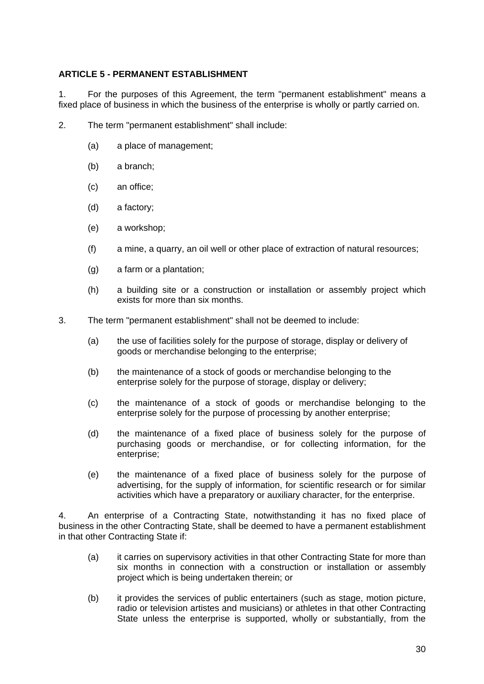#### **ARTICLE 5 - PERMANENT ESTABLISHMENT**

1. For the purposes of this Agreement, the term "permanent establishment" means a fixed place of business in which the business of the enterprise is wholly or partly carried on.

- 2. The term "permanent establishment" shall include:
	- (a) a place of management;
	- (b) a branch;
	- (c) an office;
	- (d) a factory;
	- (e) a workshop;
	- (f) a mine, a quarry, an oil well or other place of extraction of natural resources;
	- (g) a farm or a plantation;
	- (h) a building site or a construction or installation or assembly project which exists for more than six months.
- 3. The term "permanent establishment" shall not be deemed to include:
	- (a) the use of facilities solely for the purpose of storage, display or delivery of goods or merchandise belonging to the enterprise;
	- (b) the maintenance of a stock of goods or merchandise belonging to the enterprise solely for the purpose of storage, display or delivery;
	- (c) the maintenance of a stock of goods or merchandise belonging to the enterprise solely for the purpose of processing by another enterprise;
	- (d) the maintenance of a fixed place of business solely for the purpose of purchasing goods or merchandise, or for collecting information, for the enterprise;
	- (e) the maintenance of a fixed place of business solely for the purpose of advertising, for the supply of information, for scientific research or for similar activities which have a preparatory or auxiliary character, for the enterprise.

4. An enterprise of a Contracting State, notwithstanding it has no fixed place of business in the other Contracting State, shall be deemed to have a permanent establishment in that other Contracting State if:

- (a) it carries on supervisory activities in that other Contracting State for more than six months in connection with a construction or installation or assembly project which is being undertaken therein; or
- (b) it provides the services of public entertainers (such as stage, motion picture, radio or television artistes and musicians) or athletes in that other Contracting State unless the enterprise is supported, wholly or substantially, from the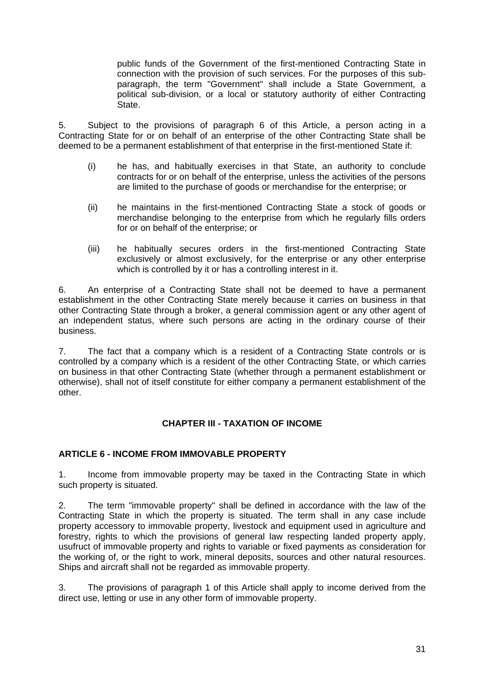public funds of the Government of the first-mentioned Contracting State in connection with the provision of such services. For the purposes of this subparagraph, the term "Government" shall include a State Government, a political sub-division, or a local or statutory authority of either Contracting State.

5. Subject to the provisions of paragraph 6 of this Article, a person acting in a Contracting State for or on behalf of an enterprise of the other Contracting State shall be deemed to be a permanent establishment of that enterprise in the first-mentioned State if:

- (i) he has, and habitually exercises in that State, an authority to conclude contracts for or on behalf of the enterprise, unless the activities of the persons are limited to the purchase of goods or merchandise for the enterprise; or
- (ii) he maintains in the first-mentioned Contracting State a stock of goods or merchandise belonging to the enterprise from which he regularly fills orders for or on behalf of the enterprise; or
- (iii) he habitually secures orders in the first-mentioned Contracting State exclusively or almost exclusively, for the enterprise or any other enterprise which is controlled by it or has a controlling interest in it.

6. An enterprise of a Contracting State shall not be deemed to have a permanent establishment in the other Contracting State merely because it carries on business in that other Contracting State through a broker, a general commission agent or any other agent of an independent status, where such persons are acting in the ordinary course of their business.

7. The fact that a company which is a resident of a Contracting State controls or is controlled by a company which is a resident of the other Contracting State, or which carries on business in that other Contracting State (whether through a permanent establishment or otherwise), shall not of itself constitute for either company a permanent establishment of the other.

## **CHAPTER III - TAXATION OF INCOME**

## **ARTICLE 6 - INCOME FROM IMMOVABLE PROPERTY**

1. Income from immovable property may be taxed in the Contracting State in which such property is situated.

2. The term "immovable property" shall be defined in accordance with the law of the Contracting State in which the property is situated. The term shall in any case include property accessory to immovable property, livestock and equipment used in agriculture and forestry, rights to which the provisions of general law respecting landed property apply, usufruct of immovable property and rights to variable or fixed payments as consideration for the working of, or the right to work, mineral deposits, sources and other natural resources. Ships and aircraft shall not be regarded as immovable property.

3. The provisions of paragraph 1 of this Article shall apply to income derived from the direct use, letting or use in any other form of immovable property.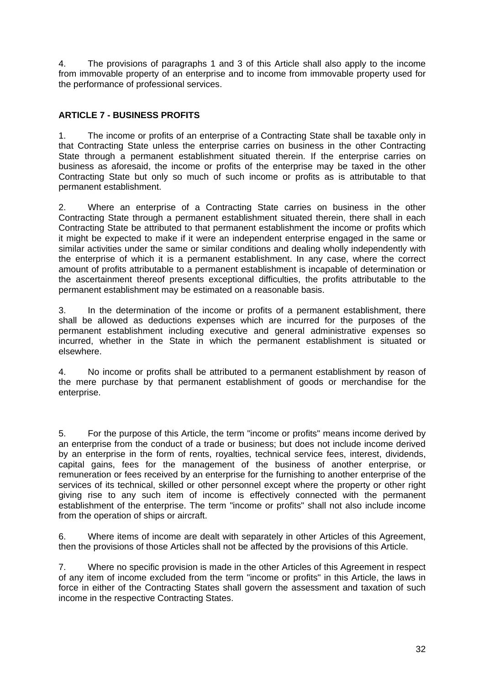4. The provisions of paragraphs 1 and 3 of this Article shall also apply to the income from immovable property of an enterprise and to income from immovable property used for the performance of professional services.

# **ARTICLE 7 - BUSINESS PROFITS**

1. The income or profits of an enterprise of a Contracting State shall be taxable only in that Contracting State unless the enterprise carries on business in the other Contracting State through a permanent establishment situated therein. If the enterprise carries on business as aforesaid, the income or profits of the enterprise may be taxed in the other Contracting State but only so much of such income or profits as is attributable to that permanent establishment.

2. Where an enterprise of a Contracting State carries on business in the other Contracting State through a permanent establishment situated therein, there shall in each Contracting State be attributed to that permanent establishment the income or profits which it might be expected to make if it were an independent enterprise engaged in the same or similar activities under the same or similar conditions and dealing wholly independently with the enterprise of which it is a permanent establishment. In any case, where the correct amount of profits attributable to a permanent establishment is incapable of determination or the ascertainment thereof presents exceptional difficulties, the profits attributable to the permanent establishment may be estimated on a reasonable basis.

3. In the determination of the income or profits of a permanent establishment, there shall be allowed as deductions expenses which are incurred for the purposes of the permanent establishment including executive and general administrative expenses so incurred, whether in the State in which the permanent establishment is situated or elsewhere.

4. No income or profits shall be attributed to a permanent establishment by reason of the mere purchase by that permanent establishment of goods or merchandise for the enterprise.

5. For the purpose of this Article, the term "income or profits" means income derived by an enterprise from the conduct of a trade or business; but does not include income derived by an enterprise in the form of rents, royalties, technical service fees, interest, dividends, capital gains, fees for the management of the business of another enterprise, or remuneration or fees received by an enterprise for the furnishing to another enterprise of the services of its technical, skilled or other personnel except where the property or other right giving rise to any such item of income is effectively connected with the permanent establishment of the enterprise. The term "income or profits" shall not also include income from the operation of ships or aircraft.

6. Where items of income are dealt with separately in other Articles of this Agreement, then the provisions of those Articles shall not be affected by the provisions of this Article.

7. Where no specific provision is made in the other Articles of this Agreement in respect of any item of income excluded from the term "income or profits" in this Article, the laws in force in either of the Contracting States shall govern the assessment and taxation of such income in the respective Contracting States.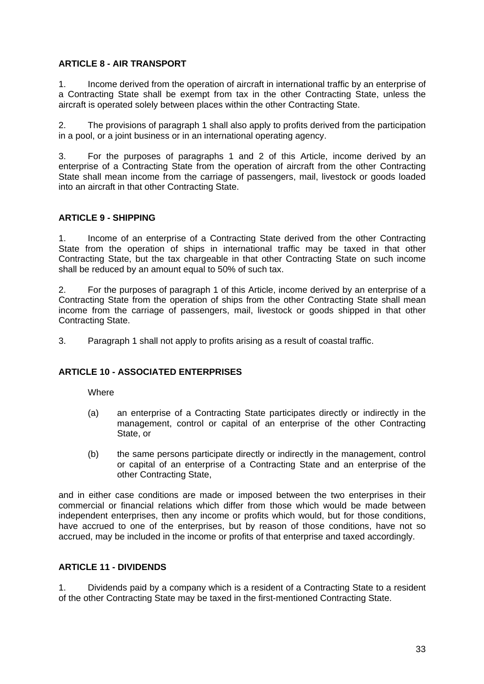#### **ARTICLE 8 - AIR TRANSPORT**

1. Income derived from the operation of aircraft in international traffic by an enterprise of a Contracting State shall be exempt from tax in the other Contracting State, unless the aircraft is operated solely between places within the other Contracting State.

2. The provisions of paragraph 1 shall also apply to profits derived from the participation in a pool, or a joint business or in an international operating agency.

3. For the purposes of paragraphs 1 and 2 of this Article, income derived by an enterprise of a Contracting State from the operation of aircraft from the other Contracting State shall mean income from the carriage of passengers, mail, livestock or goods loaded into an aircraft in that other Contracting State.

#### **ARTICLE 9 - SHIPPING**

1. Income of an enterprise of a Contracting State derived from the other Contracting State from the operation of ships in international traffic may be taxed in that other Contracting State, but the tax chargeable in that other Contracting State on such income shall be reduced by an amount equal to 50% of such tax.

2. For the purposes of paragraph 1 of this Article, income derived by an enterprise of a Contracting State from the operation of ships from the other Contracting State shall mean income from the carriage of passengers, mail, livestock or goods shipped in that other Contracting State.

3. Paragraph 1 shall not apply to profits arising as a result of coastal traffic.

#### **ARTICLE 10 - ASSOCIATED ENTERPRISES**

**Where** 

- (a) an enterprise of a Contracting State participates directly or indirectly in the management, control or capital of an enterprise of the other Contracting State, or
- (b) the same persons participate directly or indirectly in the management, control or capital of an enterprise of a Contracting State and an enterprise of the other Contracting State,

and in either case conditions are made or imposed between the two enterprises in their commercial or financial relations which differ from those which would be made between independent enterprises, then any income or profits which would, but for those conditions, have accrued to one of the enterprises, but by reason of those conditions, have not so accrued, may be included in the income or profits of that enterprise and taxed accordingly.

#### **ARTICLE 11 - DIVIDENDS**

1. Dividends paid by a company which is a resident of a Contracting State to a resident of the other Contracting State may be taxed in the first-mentioned Contracting State.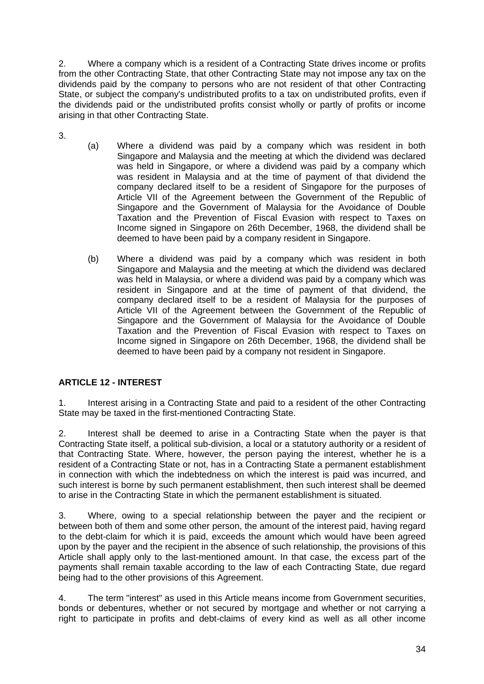2. Where a company which is a resident of a Contracting State drives income or profits from the other Contracting State, that other Contracting State may not impose any tax on the dividends paid by the company to persons who are not resident of that other Contracting State, or subject the company's undistributed profits to a tax on undistributed profits, even if the dividends paid or the undistributed profits consist wholly or partly of profits or income arising in that other Contracting State.

- 3.
- (a) Where a dividend was paid by a company which was resident in both Singapore and Malaysia and the meeting at which the dividend was declared was held in Singapore, or where a dividend was paid by a company which was resident in Malaysia and at the time of payment of that dividend the company declared itself to be a resident of Singapore for the purposes of Article VII of the Agreement between the Government of the Republic of Singapore and the Government of Malaysia for the Avoidance of Double Taxation and the Prevention of Fiscal Evasion with respect to Taxes on Income signed in Singapore on 26th December, 1968, the dividend shall be deemed to have been paid by a company resident in Singapore.
- (b) Where a dividend was paid by a company which was resident in both Singapore and Malaysia and the meeting at which the dividend was declared was held in Malaysia, or where a dividend was paid by a company which was resident in Singapore and at the time of payment of that dividend, the company declared itself to be a resident of Malaysia for the purposes of Article VII of the Agreement between the Government of the Republic of Singapore and the Government of Malaysia for the Avoidance of Double Taxation and the Prevention of Fiscal Evasion with respect to Taxes on Income signed in Singapore on 26th December, 1968, the dividend shall be deemed to have been paid by a company not resident in Singapore.

# **ARTICLE 12 - INTEREST**

1. Interest arising in a Contracting State and paid to a resident of the other Contracting State may be taxed in the first-mentioned Contracting State.

2. Interest shall be deemed to arise in a Contracting State when the payer is that Contracting State itself, a political sub-division, a local or a statutory authority or a resident of that Contracting State. Where, however, the person paying the interest, whether he is a resident of a Contracting State or not, has in a Contracting State a permanent establishment in connection with which the indebtedness on which the interest is paid was incurred, and such interest is borne by such permanent establishment, then such interest shall be deemed to arise in the Contracting State in which the permanent establishment is situated.

3. Where, owing to a special relationship between the payer and the recipient or between both of them and some other person, the amount of the interest paid, having regard to the debt-claim for which it is paid, exceeds the amount which would have been agreed upon by the payer and the recipient in the absence of such relationship, the provisions of this Article shall apply only to the last-mentioned amount. In that case, the excess part of the payments shall remain taxable according to the law of each Contracting State, due regard being had to the other provisions of this Agreement.

4. The term "interest" as used in this Article means income from Government securities, bonds or debentures, whether or not secured by mortgage and whether or not carrying a right to participate in profits and debt-claims of every kind as well as all other income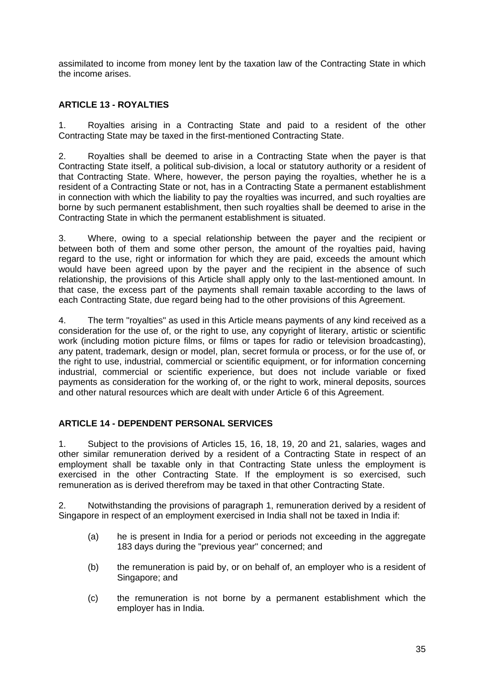assimilated to income from money lent by the taxation law of the Contracting State in which the income arises.

## **ARTICLE 13 - ROYALTIES**

1. Royalties arising in a Contracting State and paid to a resident of the other Contracting State may be taxed in the first-mentioned Contracting State.

2. Royalties shall be deemed to arise in a Contracting State when the payer is that Contracting State itself, a political sub-division, a local or statutory authority or a resident of that Contracting State. Where, however, the person paying the royalties, whether he is a resident of a Contracting State or not, has in a Contracting State a permanent establishment in connection with which the liability to pay the royalties was incurred, and such royalties are borne by such permanent establishment, then such royalties shall be deemed to arise in the Contracting State in which the permanent establishment is situated.

3. Where, owing to a special relationship between the payer and the recipient or between both of them and some other person, the amount of the royalties paid, having regard to the use, right or information for which they are paid, exceeds the amount which would have been agreed upon by the payer and the recipient in the absence of such relationship, the provisions of this Article shall apply only to the last-mentioned amount. In that case, the excess part of the payments shall remain taxable according to the laws of each Contracting State, due regard being had to the other provisions of this Agreement.

4. The term "royalties" as used in this Article means payments of any kind received as a consideration for the use of, or the right to use, any copyright of literary, artistic or scientific work (including motion picture films, or films or tapes for radio or television broadcasting), any patent, trademark, design or model, plan, secret formula or process, or for the use of, or the right to use, industrial, commercial or scientific equipment, or for information concerning industrial, commercial or scientific experience, but does not include variable or fixed payments as consideration for the working of, or the right to work, mineral deposits, sources and other natural resources which are dealt with under Article 6 of this Agreement.

## **ARTICLE 14 - DEPENDENT PERSONAL SERVICES**

1. Subject to the provisions of Articles 15, 16, 18, 19, 20 and 21, salaries, wages and other similar remuneration derived by a resident of a Contracting State in respect of an employment shall be taxable only in that Contracting State unless the employment is exercised in the other Contracting State. If the employment is so exercised, such remuneration as is derived therefrom may be taxed in that other Contracting State.

2. Notwithstanding the provisions of paragraph 1, remuneration derived by a resident of Singapore in respect of an employment exercised in India shall not be taxed in India if:

- (a) he is present in India for a period or periods not exceeding in the aggregate 183 days during the "previous year" concerned; and
- (b) the remuneration is paid by, or on behalf of, an employer who is a resident of Singapore; and
- (c) the remuneration is not borne by a permanent establishment which the employer has in India.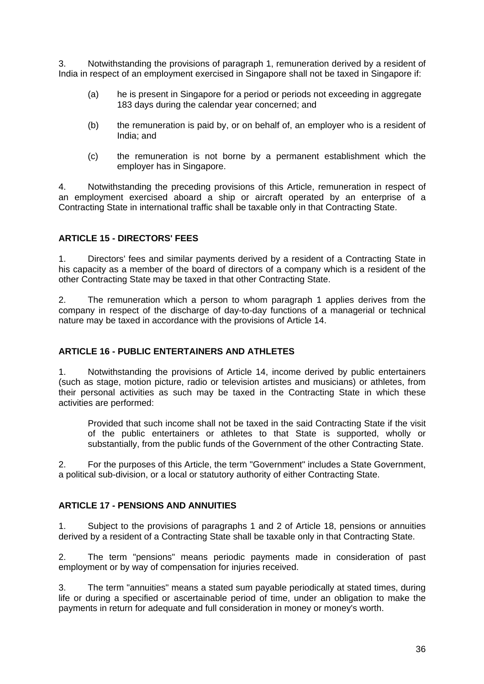3. Notwithstanding the provisions of paragraph 1, remuneration derived by a resident of India in respect of an employment exercised in Singapore shall not be taxed in Singapore if:

- (a) he is present in Singapore for a period or periods not exceeding in aggregate 183 days during the calendar year concerned; and
- (b) the remuneration is paid by, or on behalf of, an employer who is a resident of India; and
- (c) the remuneration is not borne by a permanent establishment which the employer has in Singapore.

4. Notwithstanding the preceding provisions of this Article, remuneration in respect of an employment exercised aboard a ship or aircraft operated by an enterprise of a Contracting State in international traffic shall be taxable only in that Contracting State.

#### **ARTICLE 15 - DIRECTORS' FEES**

1. Directors' fees and similar payments derived by a resident of a Contracting State in his capacity as a member of the board of directors of a company which is a resident of the other Contracting State may be taxed in that other Contracting State.

2. The remuneration which a person to whom paragraph 1 applies derives from the company in respect of the discharge of day-to-day functions of a managerial or technical nature may be taxed in accordance with the provisions of Article 14.

#### **ARTICLE 16 - PUBLIC ENTERTAINERS AND ATHLETES**

1. Notwithstanding the provisions of Article 14, income derived by public entertainers (such as stage, motion picture, radio or television artistes and musicians) or athletes, from their personal activities as such may be taxed in the Contracting State in which these activities are performed:

Provided that such income shall not be taxed in the said Contracting State if the visit of the public entertainers or athletes to that State is supported, wholly or substantially, from the public funds of the Government of the other Contracting State.

2. For the purposes of this Article, the term "Government" includes a State Government, a political sub-division, or a local or statutory authority of either Contracting State.

#### **ARTICLE 17 - PENSIONS AND ANNUITIES**

1. Subject to the provisions of paragraphs 1 and 2 of Article 18, pensions or annuities derived by a resident of a Contracting State shall be taxable only in that Contracting State.

2. The term "pensions" means periodic payments made in consideration of past employment or by way of compensation for injuries received.

3. The term "annuities" means a stated sum payable periodically at stated times, during life or during a specified or ascertainable period of time, under an obligation to make the payments in return for adequate and full consideration in money or money's worth.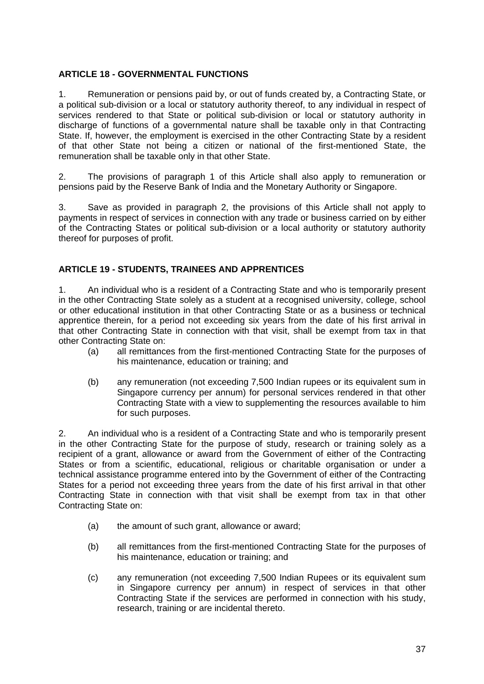## **ARTICLE 18 - GOVERNMENTAL FUNCTIONS**

1. Remuneration or pensions paid by, or out of funds created by, a Contracting State, or a political sub-division or a local or statutory authority thereof, to any individual in respect of services rendered to that State or political sub-division or local or statutory authority in discharge of functions of a governmental nature shall be taxable only in that Contracting State. If, however, the employment is exercised in the other Contracting State by a resident of that other State not being a citizen or national of the first-mentioned State, the remuneration shall be taxable only in that other State.

2. The provisions of paragraph 1 of this Article shall also apply to remuneration or pensions paid by the Reserve Bank of India and the Monetary Authority or Singapore.

3. Save as provided in paragraph 2, the provisions of this Article shall not apply to payments in respect of services in connection with any trade or business carried on by either of the Contracting States or political sub-division or a local authority or statutory authority thereof for purposes of profit.

## **ARTICLE 19 - STUDENTS, TRAINEES AND APPRENTICES**

1. An individual who is a resident of a Contracting State and who is temporarily present in the other Contracting State solely as a student at a recognised university, college, school or other educational institution in that other Contracting State or as a business or technical apprentice therein, for a period not exceeding six years from the date of his first arrival in that other Contracting State in connection with that visit, shall be exempt from tax in that other Contracting State on:

- (a) all remittances from the first-mentioned Contracting State for the purposes of his maintenance, education or training; and
- (b) any remuneration (not exceeding 7,500 Indian rupees or its equivalent sum in Singapore currency per annum) for personal services rendered in that other Contracting State with a view to supplementing the resources available to him for such purposes.

2. An individual who is a resident of a Contracting State and who is temporarily present in the other Contracting State for the purpose of study, research or training solely as a recipient of a grant, allowance or award from the Government of either of the Contracting States or from a scientific, educational, religious or charitable organisation or under a technical assistance programme entered into by the Government of either of the Contracting States for a period not exceeding three years from the date of his first arrival in that other Contracting State in connection with that visit shall be exempt from tax in that other Contracting State on:

- (a) the amount of such grant, allowance or award;
- (b) all remittances from the first-mentioned Contracting State for the purposes of his maintenance, education or training; and
- (c) any remuneration (not exceeding 7,500 Indian Rupees or its equivalent sum in Singapore currency per annum) in respect of services in that other Contracting State if the services are performed in connection with his study, research, training or are incidental thereto.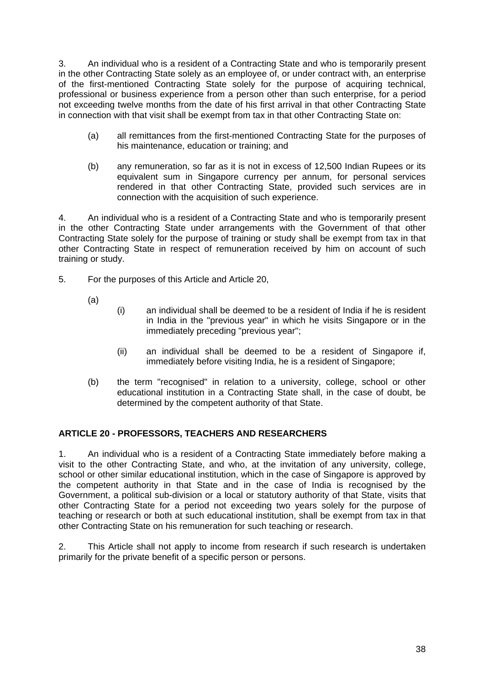3. An individual who is a resident of a Contracting State and who is temporarily present in the other Contracting State solely as an employee of, or under contract with, an enterprise of the first-mentioned Contracting State solely for the purpose of acquiring technical, professional or business experience from a person other than such enterprise, for a period not exceeding twelve months from the date of his first arrival in that other Contracting State in connection with that visit shall be exempt from tax in that other Contracting State on:

- (a) all remittances from the first-mentioned Contracting State for the purposes of his maintenance, education or training; and
- (b) any remuneration, so far as it is not in excess of 12,500 Indian Rupees or its equivalent sum in Singapore currency per annum, for personal services rendered in that other Contracting State, provided such services are in connection with the acquisition of such experience.

4. An individual who is a resident of a Contracting State and who is temporarily present in the other Contracting State under arrangements with the Government of that other Contracting State solely for the purpose of training or study shall be exempt from tax in that other Contracting State in respect of remuneration received by him on account of such training or study.

- 5. For the purposes of this Article and Article 20,
	- (a)
- (i) an individual shall be deemed to be a resident of India if he is resident in India in the "previous year" in which he visits Singapore or in the immediately preceding "previous year";
- (ii) an individual shall be deemed to be a resident of Singapore if, immediately before visiting India, he is a resident of Singapore;
- (b) the term "recognised" in relation to a university, college, school or other educational institution in a Contracting State shall, in the case of doubt, be determined by the competent authority of that State.

## **ARTICLE 20 - PROFESSORS, TEACHERS AND RESEARCHERS**

1. An individual who is a resident of a Contracting State immediately before making a visit to the other Contracting State, and who, at the invitation of any university, college, school or other similar educational institution, which in the case of Singapore is approved by the competent authority in that State and in the case of India is recognised by the Government, a political sub-division or a local or statutory authority of that State, visits that other Contracting State for a period not exceeding two years solely for the purpose of teaching or research or both at such educational institution, shall be exempt from tax in that other Contracting State on his remuneration for such teaching or research.

2. This Article shall not apply to income from research if such research is undertaken primarily for the private benefit of a specific person or persons.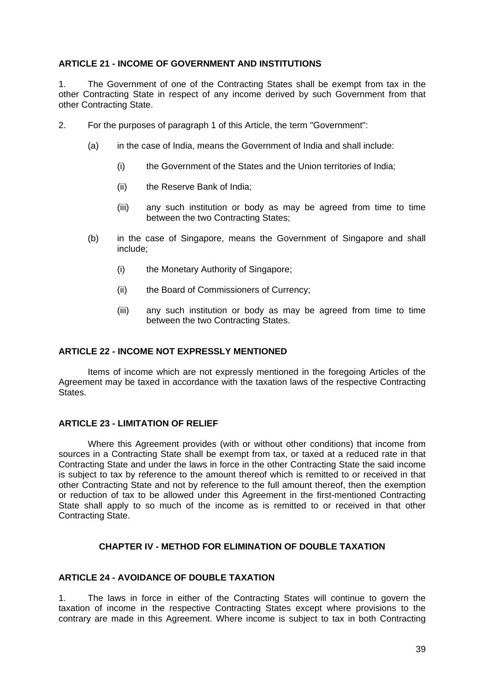#### **ARTICLE 21 - INCOME OF GOVERNMENT AND INSTITUTIONS**

1. The Government of one of the Contracting States shall be exempt from tax in the other Contracting State in respect of any income derived by such Government from that other Contracting State.

- 2. For the purposes of paragraph 1 of this Article, the term "Government":
	- (a) in the case of India, means the Government of India and shall include:
		- (i) the Government of the States and the Union territories of India;
		- (ii) the Reserve Bank of India;
		- (iii) any such institution or body as may be agreed from time to time between the two Contracting States;
	- (b) in the case of Singapore, means the Government of Singapore and shall include;
		- (i) the Monetary Authority of Singapore;
		- (ii) the Board of Commissioners of Currency;
		- (iii) any such institution or body as may be agreed from time to time between the two Contracting States.

#### **ARTICLE 22 - INCOME NOT EXPRESSLY MENTIONED**

Items of income which are not expressly mentioned in the foregoing Articles of the Agreement may be taxed in accordance with the taxation laws of the respective Contracting **States** 

#### **ARTICLE 23 - LIMITATION OF RELIEF**

Where this Agreement provides (with or without other conditions) that income from sources in a Contracting State shall be exempt from tax, or taxed at a reduced rate in that Contracting State and under the laws in force in the other Contracting State the said income is subject to tax by reference to the amount thereof which is remitted to or received in that other Contracting State and not by reference to the full amount thereof, then the exemption or reduction of tax to be allowed under this Agreement in the first-mentioned Contracting State shall apply to so much of the income as is remitted to or received in that other Contracting State.

#### **CHAPTER IV - METHOD FOR ELIMINATION OF DOUBLE TAXATION**

#### **ARTICLE 24 - AVOIDANCE OF DOUBLE TAXATION**

1. The laws in force in either of the Contracting States will continue to govern the taxation of income in the respective Contracting States except where provisions to the contrary are made in this Agreement. Where income is subject to tax in both Contracting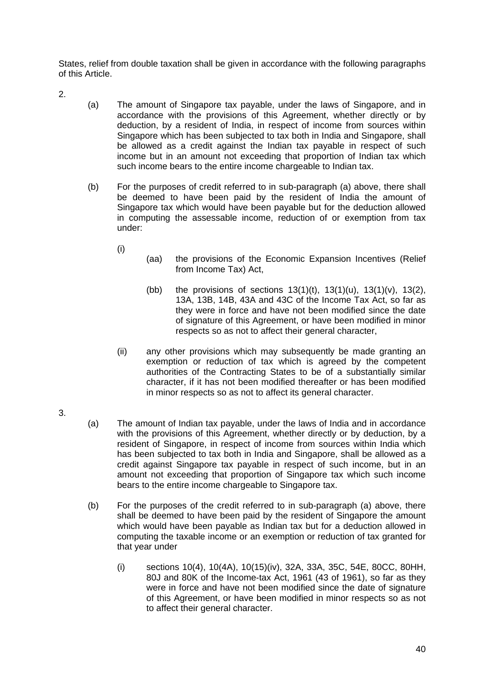States, relief from double taxation shall be given in accordance with the following paragraphs of this Article.

- 2.
- (a) The amount of Singapore tax payable, under the laws of Singapore, and in accordance with the provisions of this Agreement, whether directly or by deduction, by a resident of India, in respect of income from sources within Singapore which has been subjected to tax both in India and Singapore, shall be allowed as a credit against the Indian tax payable in respect of such income but in an amount not exceeding that proportion of Indian tax which such income bears to the entire income chargeable to Indian tax.
- (b) For the purposes of credit referred to in sub-paragraph (a) above, there shall be deemed to have been paid by the resident of India the amount of Singapore tax which would have been payable but for the deduction allowed in computing the assessable income, reduction of or exemption from tax under:
	- (i)
- (aa) the provisions of the Economic Expansion Incentives (Relief from Income Tax) Act,
- (bb) the provisions of sections  $13(1)(t)$ ,  $13(1)(u)$ ,  $13(1)(v)$ ,  $13(2)$ , 13A, 13B, 14B, 43A and 43C of the Income Tax Act, so far as they were in force and have not been modified since the date of signature of this Agreement, or have been modified in minor respects so as not to affect their general character,
- (ii) any other provisions which may subsequently be made granting an exemption or reduction of tax which is agreed by the competent authorities of the Contracting States to be of a substantially similar character, if it has not been modified thereafter or has been modified in minor respects so as not to affect its general character.
- 3.
- (a) The amount of Indian tax payable, under the laws of India and in accordance with the provisions of this Agreement, whether directly or by deduction, by a resident of Singapore, in respect of income from sources within India which has been subjected to tax both in India and Singapore, shall be allowed as a credit against Singapore tax payable in respect of such income, but in an amount not exceeding that proportion of Singapore tax which such income bears to the entire income chargeable to Singapore tax.
- (b) For the purposes of the credit referred to in sub-paragraph (a) above, there shall be deemed to have been paid by the resident of Singapore the amount which would have been payable as Indian tax but for a deduction allowed in computing the taxable income or an exemption or reduction of tax granted for that year under
	- (i) sections 10(4), 10(4A), 10(15)(iv), 32A, 33A, 35C, 54E, 80CC, 80HH, 80J and 80K of the Income-tax Act, 1961 (43 of 1961), so far as they were in force and have not been modified since the date of signature of this Agreement, or have been modified in minor respects so as not to affect their general character.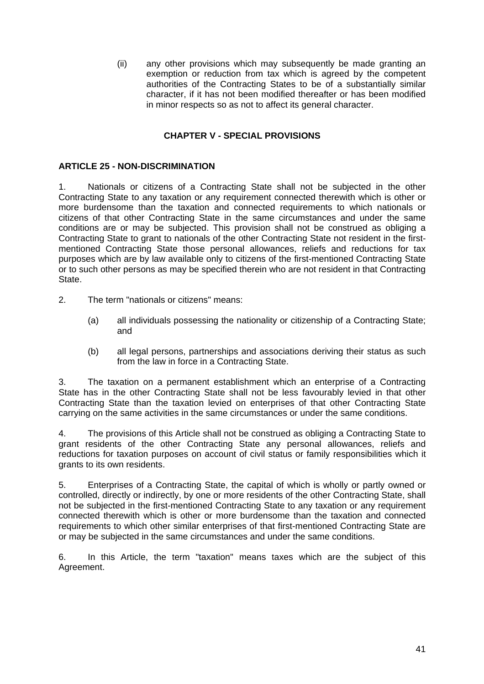(ii) any other provisions which may subsequently be made granting an exemption or reduction from tax which is agreed by the competent authorities of the Contracting States to be of a substantially similar character, if it has not been modified thereafter or has been modified in minor respects so as not to affect its general character.

#### **CHAPTER V - SPECIAL PROVISIONS**

#### **ARTICLE 25 - NON-DISCRIMINATION**

1. Nationals or citizens of a Contracting State shall not be subjected in the other Contracting State to any taxation or any requirement connected therewith which is other or more burdensome than the taxation and connected requirements to which nationals or citizens of that other Contracting State in the same circumstances and under the same conditions are or may be subjected. This provision shall not be construed as obliging a Contracting State to grant to nationals of the other Contracting State not resident in the firstmentioned Contracting State those personal allowances, reliefs and reductions for tax purposes which are by law available only to citizens of the first-mentioned Contracting State or to such other persons as may be specified therein who are not resident in that Contracting State.

- 2. The term "nationals or citizens" means:
	- (a) all individuals possessing the nationality or citizenship of a Contracting State; and
	- (b) all legal persons, partnerships and associations deriving their status as such from the law in force in a Contracting State.

3. The taxation on a permanent establishment which an enterprise of a Contracting State has in the other Contracting State shall not be less favourably levied in that other Contracting State than the taxation levied on enterprises of that other Contracting State carrying on the same activities in the same circumstances or under the same conditions.

4. The provisions of this Article shall not be construed as obliging a Contracting State to grant residents of the other Contracting State any personal allowances, reliefs and reductions for taxation purposes on account of civil status or family responsibilities which it grants to its own residents.

5. Enterprises of a Contracting State, the capital of which is wholly or partly owned or controlled, directly or indirectly, by one or more residents of the other Contracting State, shall not be subjected in the first-mentioned Contracting State to any taxation or any requirement connected therewith which is other or more burdensome than the taxation and connected requirements to which other similar enterprises of that first-mentioned Contracting State are or may be subjected in the same circumstances and under the same conditions.

6. In this Article, the term "taxation" means taxes which are the subject of this Agreement.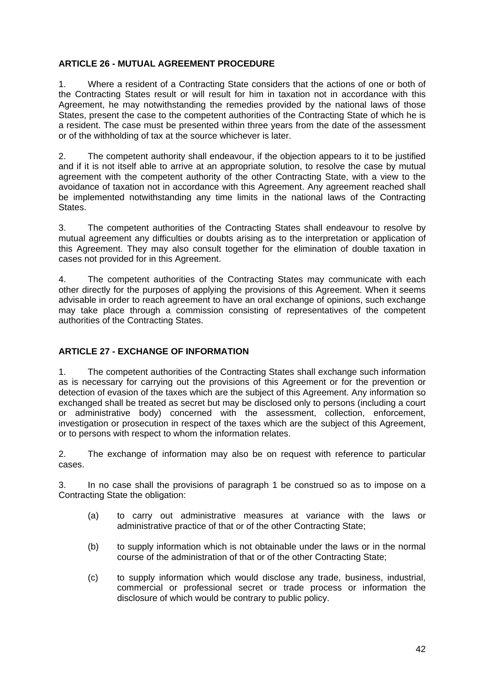#### **ARTICLE 26 - MUTUAL AGREEMENT PROCEDURE**

1. Where a resident of a Contracting State considers that the actions of one or both of the Contracting States result or will result for him in taxation not in accordance with this Agreement, he may notwithstanding the remedies provided by the national laws of those States, present the case to the competent authorities of the Contracting State of which he is a resident. The case must be presented within three years from the date of the assessment or of the withholding of tax at the source whichever is later.

2. The competent authority shall endeavour, if the objection appears to it to be justified and if it is not itself able to arrive at an appropriate solution, to resolve the case by mutual agreement with the competent authority of the other Contracting State, with a view to the avoidance of taxation not in accordance with this Agreement. Any agreement reached shall be implemented notwithstanding any time limits in the national laws of the Contracting States.

3. The competent authorities of the Contracting States shall endeavour to resolve by mutual agreement any difficulties or doubts arising as to the interpretation or application of this Agreement. They may also consult together for the elimination of double taxation in cases not provided for in this Agreement.

4. The competent authorities of the Contracting States may communicate with each other directly for the purposes of applying the provisions of this Agreement. When it seems advisable in order to reach agreement to have an oral exchange of opinions, such exchange may take place through a commission consisting of representatives of the competent authorities of the Contracting States.

## **ARTICLE 27 - EXCHANGE OF INFORMATION**

1. The competent authorities of the Contracting States shall exchange such information as is necessary for carrying out the provisions of this Agreement or for the prevention or detection of evasion of the taxes which are the subject of this Agreement. Any information so exchanged shall be treated as secret but may be disclosed only to persons (including a court or administrative body) concerned with the assessment, collection, enforcement, investigation or prosecution in respect of the taxes which are the subject of this Agreement, or to persons with respect to whom the information relates.

2. The exchange of information may also be on request with reference to particular cases.

3. In no case shall the provisions of paragraph 1 be construed so as to impose on a Contracting State the obligation:

- (a) to carry out administrative measures at variance with the laws or administrative practice of that or of the other Contracting State;
- (b) to supply information which is not obtainable under the laws or in the normal course of the administration of that or of the other Contracting State;
- (c) to supply information which would disclose any trade, business, industrial, commercial or professional secret or trade process or information the disclosure of which would be contrary to public policy.